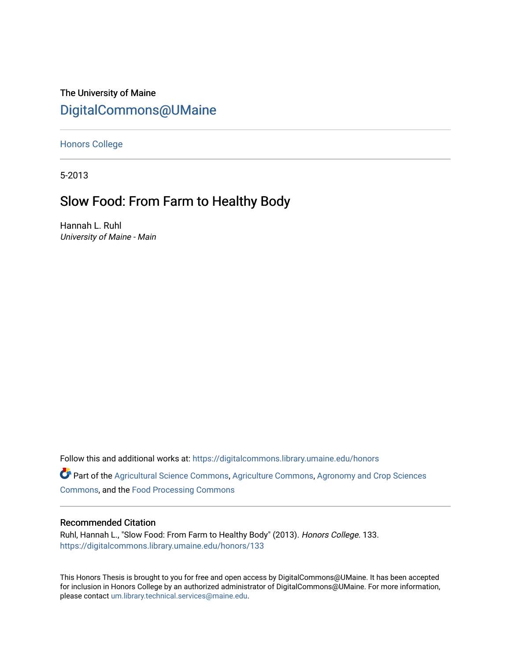# The University of Maine [DigitalCommons@UMaine](https://digitalcommons.library.umaine.edu/)

[Honors College](https://digitalcommons.library.umaine.edu/honors)

5-2013

## Slow Food: From Farm to Healthy Body

Hannah L. Ruhl University of Maine - Main

Follow this and additional works at: [https://digitalcommons.library.umaine.edu/honors](https://digitalcommons.library.umaine.edu/honors?utm_source=digitalcommons.library.umaine.edu%2Fhonors%2F133&utm_medium=PDF&utm_campaign=PDFCoverPages) 

Part of the [Agricultural Science Commons](http://network.bepress.com/hgg/discipline/1063?utm_source=digitalcommons.library.umaine.edu%2Fhonors%2F133&utm_medium=PDF&utm_campaign=PDFCoverPages), [Agriculture Commons,](http://network.bepress.com/hgg/discipline/1076?utm_source=digitalcommons.library.umaine.edu%2Fhonors%2F133&utm_medium=PDF&utm_campaign=PDFCoverPages) [Agronomy and Crop Sciences](http://network.bepress.com/hgg/discipline/103?utm_source=digitalcommons.library.umaine.edu%2Fhonors%2F133&utm_medium=PDF&utm_campaign=PDFCoverPages) [Commons](http://network.bepress.com/hgg/discipline/103?utm_source=digitalcommons.library.umaine.edu%2Fhonors%2F133&utm_medium=PDF&utm_campaign=PDFCoverPages), and the [Food Processing Commons](http://network.bepress.com/hgg/discipline/85?utm_source=digitalcommons.library.umaine.edu%2Fhonors%2F133&utm_medium=PDF&utm_campaign=PDFCoverPages)

#### Recommended Citation

Ruhl, Hannah L., "Slow Food: From Farm to Healthy Body" (2013). Honors College. 133. [https://digitalcommons.library.umaine.edu/honors/133](https://digitalcommons.library.umaine.edu/honors/133?utm_source=digitalcommons.library.umaine.edu%2Fhonors%2F133&utm_medium=PDF&utm_campaign=PDFCoverPages) 

This Honors Thesis is brought to you for free and open access by DigitalCommons@UMaine. It has been accepted for inclusion in Honors College by an authorized administrator of DigitalCommons@UMaine. For more information, please contact [um.library.technical.services@maine.edu.](mailto:um.library.technical.services@maine.edu)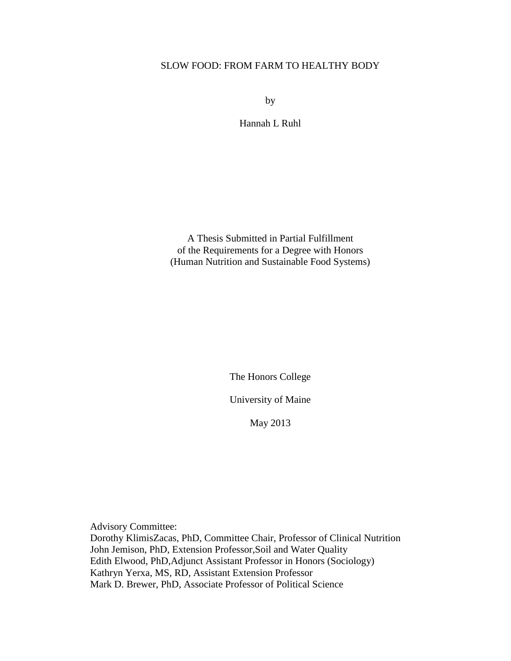### SLOW FOOD: FROM FARM TO HEALTHY BODY

by

Hannah L Ruhl

A Thesis Submitted in Partial Fulfillment of the Requirements for a Degree with Honors (Human Nutrition and Sustainable Food Systems)

The Honors College

University of Maine

May 2013

Advisory Committee: Dorothy KlimisZacas, PhD, Committee Chair, Professor of Clinical Nutrition John Jemison, PhD, Extension Professor,Soil and Water Quality Edith Elwood, PhD,Adjunct Assistant Professor in Honors (Sociology) Kathryn Yerxa, MS, RD, Assistant Extension Professor Mark D. Brewer, PhD, Associate Professor of Political Science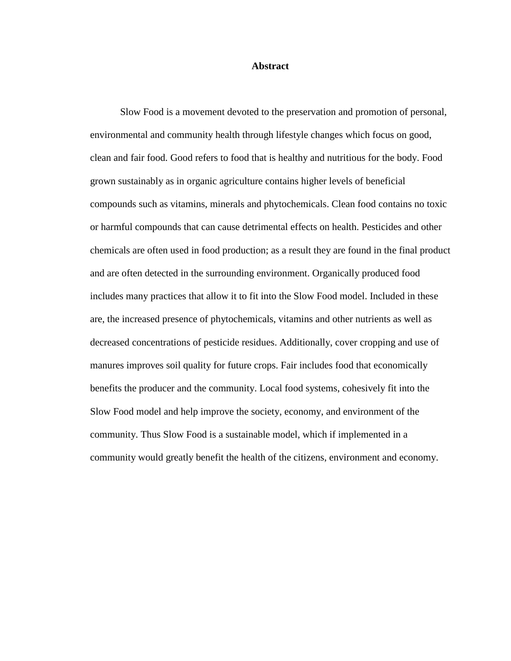#### **Abstract**

Slow Food is a movement devoted to the preservation and promotion of personal, environmental and community health through lifestyle changes which focus on good, clean and fair food. Good refers to food that is healthy and nutritious for the body. Food grown sustainably as in organic agriculture contains higher levels of beneficial compounds such as vitamins, minerals and phytochemicals. Clean food contains no toxic or harmful compounds that can cause detrimental effects on health. Pesticides and other chemicals are often used in food production; as a result they are found in the final product and are often detected in the surrounding environment. Organically produced food includes many practices that allow it to fit into the Slow Food model. Included in these are, the increased presence of phytochemicals, vitamins and other nutrients as well as decreased concentrations of pesticide residues. Additionally, cover cropping and use of manures improves soil quality for future crops. Fair includes food that economically benefits the producer and the community. Local food systems, cohesively fit into the Slow Food model and help improve the society, economy, and environment of the community. Thus Slow Food is a sustainable model, which if implemented in a community would greatly benefit the health of the citizens, environment and economy.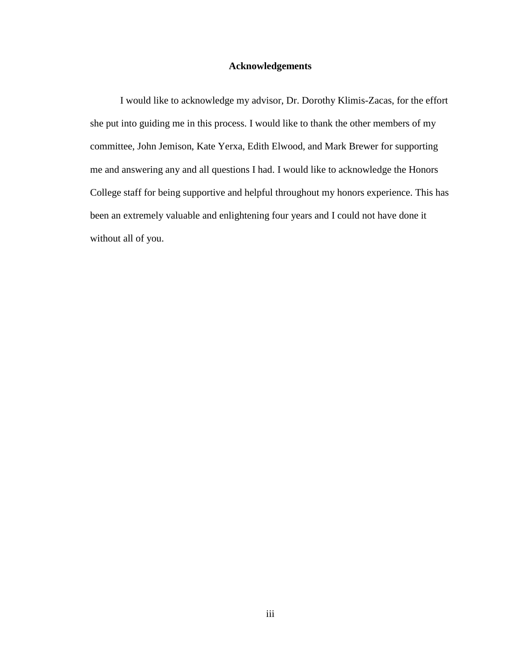#### **Acknowledgements**

I would like to acknowledge my advisor, Dr. Dorothy Klimis-Zacas, for the effort she put into guiding me in this process. I would like to thank the other members of my committee, John Jemison, Kate Yerxa, Edith Elwood, and Mark Brewer for supporting me and answering any and all questions I had. I would like to acknowledge the Honors College staff for being supportive and helpful throughout my honors experience. This has been an extremely valuable and enlightening four years and I could not have done it without all of you.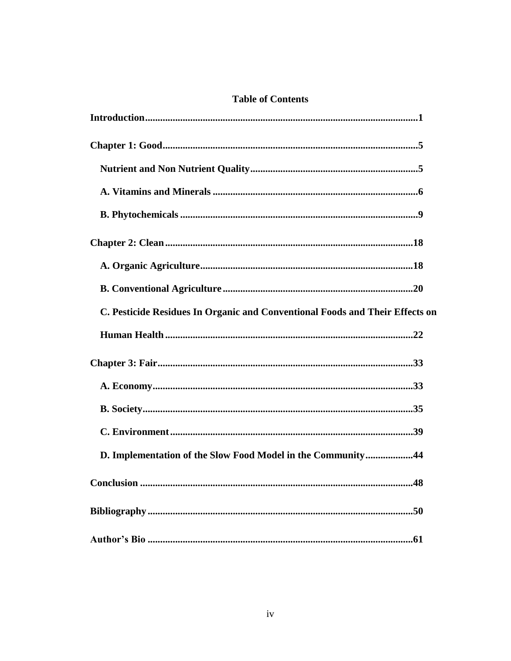## **Table of Contents**

| C. Pesticide Residues In Organic and Conventional Foods and Their Effects on |
|------------------------------------------------------------------------------|
|                                                                              |
|                                                                              |
|                                                                              |
|                                                                              |
|                                                                              |
| D. Implementation of the Slow Food Model in the Community44                  |
|                                                                              |
|                                                                              |
|                                                                              |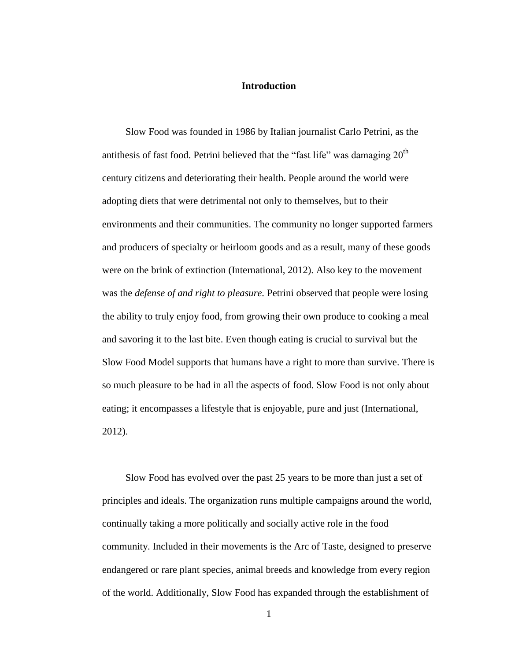#### **Introduction**

Slow Food was founded in 1986 by Italian journalist Carlo Petrini, as the antithesis of fast food. Petrini believed that the "fast life" was damaging  $20<sup>th</sup>$ century citizens and deteriorating their health. People around the world were adopting diets that were detrimental not only to themselves, but to their environments and their communities. The community no longer supported farmers and producers of specialty or heirloom goods and as a result, many of these goods were on the brink of extinction (International, 2012). Also key to the movement was the *defense of and right to pleasure.* Petrini observed that people were losing the ability to truly enjoy food, from growing their own produce to cooking a meal and savoring it to the last bite. Even though eating is crucial to survival but the Slow Food Model supports that humans have a right to more than survive. There is so much pleasure to be had in all the aspects of food. Slow Food is not only about eating; it encompasses a lifestyle that is enjoyable, pure and just (International, 2012).

Slow Food has evolved over the past 25 years to be more than just a set of principles and ideals. The organization runs multiple campaigns around the world, continually taking a more politically and socially active role in the food community. Included in their movements is the Arc of Taste, designed to preserve endangered or rare plant species, animal breeds and knowledge from every region of the world. Additionally, Slow Food has expanded through the establishment of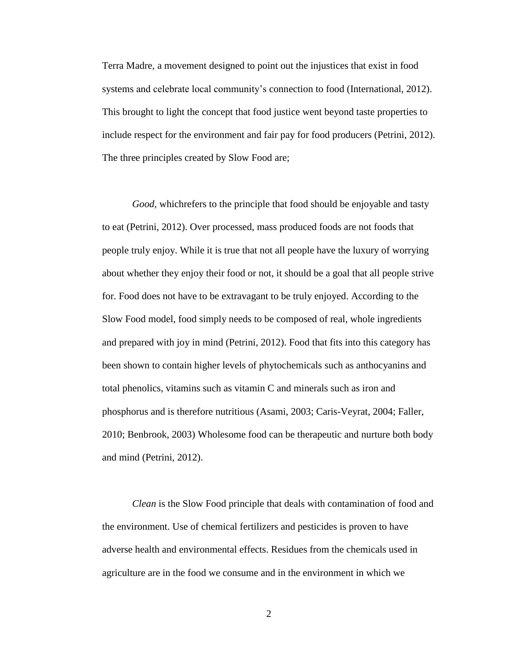Terra Madre, a movement designed to point out the injustices that exist in food systems and celebrate local community's connection to food (International, 2012). This brought to light the concept that food justice went beyond taste properties to include respect for the environment and fair pay for food producers (Petrini, 2012). The three principles created by Slow Food are;

*Good,* whichrefers to the principle that food should be enjoyable and tasty to eat (Petrini, 2012). Over processed, mass produced foods are not foods that people truly enjoy. While it is true that not all people have the luxury of worrying about whether they enjoy their food or not, it should be a goal that all people strive for. Food does not have to be extravagant to be truly enjoyed. According to the Slow Food model, food simply needs to be composed of real, whole ingredients and prepared with joy in mind (Petrini, 2012). Food that fits into this category has been shown to contain higher levels of phytochemicals such as anthocyanins and total phenolics, vitamins such as vitamin C and minerals such as iron and phosphorus and is therefore nutritious (Asami, 2003; Caris-Veyrat, 2004; Faller, 2010; Benbrook, 2003) Wholesome food can be therapeutic and nurture both body and mind (Petrini, 2012).

*Clean* is the Slow Food principle that deals with contamination of food and the environment. Use of chemical fertilizers and pesticides is proven to have adverse health and environmental effects. Residues from the chemicals used in agriculture are in the food we consume and in the environment in which we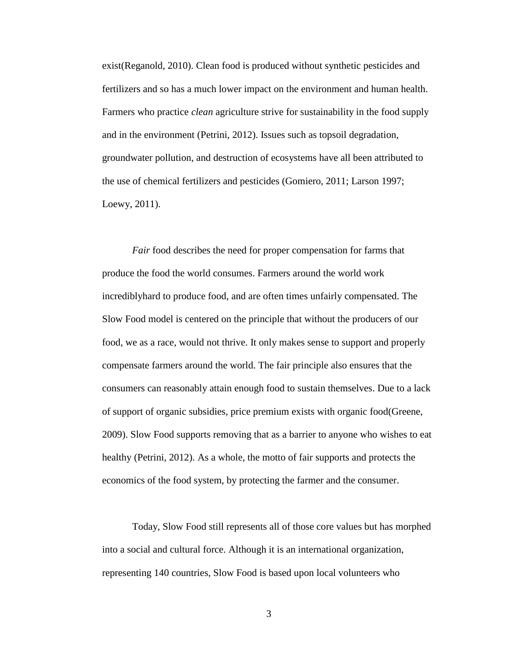exist(Reganold, 2010). Clean food is produced without synthetic pesticides and fertilizers and so has a much lower impact on the environment and human health. Farmers who practice *clean* agriculture strive for sustainability in the food supply and in the environment (Petrini, 2012). Issues such as topsoil degradation, groundwater pollution, and destruction of ecosystems have all been attributed to the use of chemical fertilizers and pesticides (Gomiero, 2011; Larson 1997; Loewy, 2011).

*Fair* food describes the need for proper compensation for farms that produce the food the world consumes. Farmers around the world work incrediblyhard to produce food, and are often times unfairly compensated. The Slow Food model is centered on the principle that without the producers of our food, we as a race, would not thrive. It only makes sense to support and properly compensate farmers around the world. The fair principle also ensures that the consumers can reasonably attain enough food to sustain themselves. Due to a lack of support of organic subsidies, price premium exists with organic food(Greene, 2009). Slow Food supports removing that as a barrier to anyone who wishes to eat healthy (Petrini, 2012). As a whole, the motto of fair supports and protects the economics of the food system, by protecting the farmer and the consumer.

Today, Slow Food still represents all of those core values but has morphed into a social and cultural force. Although it is an international organization, representing 140 countries, Slow Food is based upon local volunteers who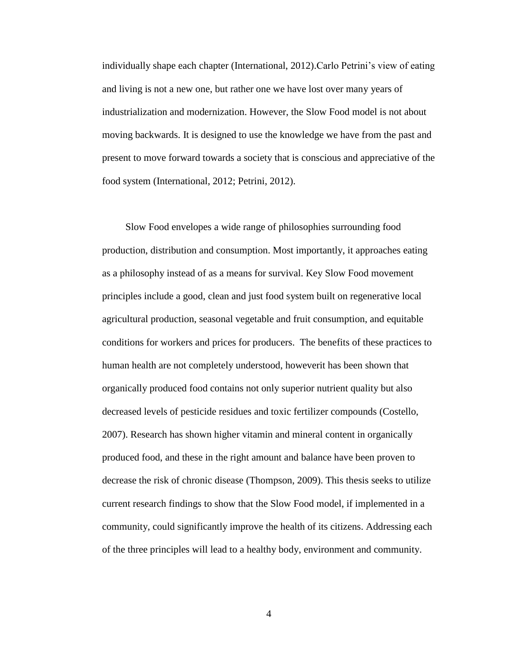individually shape each chapter (International, 2012).Carlo Petrini's view of eating and living is not a new one, but rather one we have lost over many years of industrialization and modernization. However, the Slow Food model is not about moving backwards. It is designed to use the knowledge we have from the past and present to move forward towards a society that is conscious and appreciative of the food system (International, 2012; Petrini, 2012).

Slow Food envelopes a wide range of philosophies surrounding food production, distribution and consumption. Most importantly, it approaches eating as a philosophy instead of as a means for survival. Key Slow Food movement principles include a good, clean and just food system built on regenerative local agricultural production, seasonal vegetable and fruit consumption, and equitable conditions for workers and prices for producers. The benefits of these practices to human health are not completely understood, howeverit has been shown that organically produced food contains not only superior nutrient quality but also decreased levels of pesticide residues and toxic fertilizer compounds (Costello, 2007). Research has shown higher vitamin and mineral content in organically produced food, and these in the right amount and balance have been proven to decrease the risk of chronic disease (Thompson, 2009). This thesis seeks to utilize current research findings to show that the Slow Food model, if implemented in a community, could significantly improve the health of its citizens. Addressing each of the three principles will lead to a healthy body, environment and community.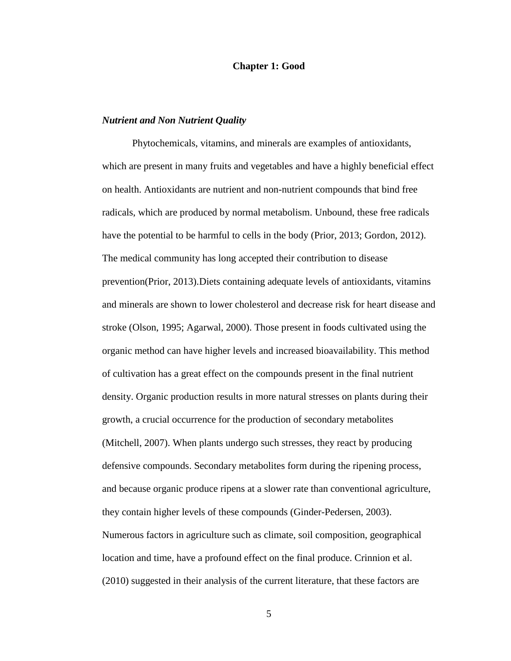#### **Chapter 1: Good**

#### *Nutrient and Non Nutrient Quality*

Phytochemicals, vitamins, and minerals are examples of antioxidants, which are present in many fruits and vegetables and have a highly beneficial effect on health. Antioxidants are nutrient and non-nutrient compounds that bind free radicals, which are produced by normal metabolism. Unbound, these free radicals have the potential to be harmful to cells in the body (Prior, 2013; Gordon, 2012). The medical community has long accepted their contribution to disease prevention(Prior, 2013).Diets containing adequate levels of antioxidants, vitamins and minerals are shown to lower cholesterol and decrease risk for heart disease and stroke (Olson, 1995; Agarwal, 2000). Those present in foods cultivated using the organic method can have higher levels and increased bioavailability. This method of cultivation has a great effect on the compounds present in the final nutrient density. Organic production results in more natural stresses on plants during their growth, a crucial occurrence for the production of secondary metabolites (Mitchell, 2007). When plants undergo such stresses, they react by producing defensive compounds. Secondary metabolites form during the ripening process, and because organic produce ripens at a slower rate than conventional agriculture, they contain higher levels of these compounds (Ginder-Pedersen, 2003). Numerous factors in agriculture such as climate, soil composition, geographical location and time, have a profound effect on the final produce. Crinnion et al. (2010) suggested in their analysis of the current literature, that these factors are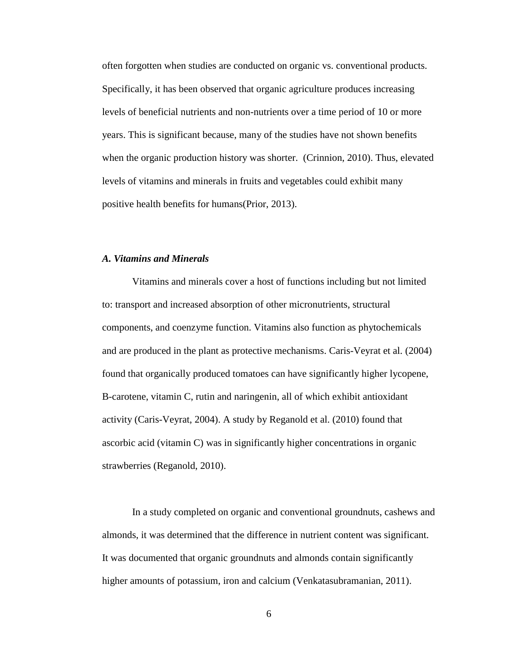often forgotten when studies are conducted on organic vs. conventional products. Specifically, it has been observed that organic agriculture produces increasing levels of beneficial nutrients and non-nutrients over a time period of 10 or more years. This is significant because, many of the studies have not shown benefits when the organic production history was shorter. (Crinnion, 2010). Thus, elevated levels of vitamins and minerals in fruits and vegetables could exhibit many positive health benefits for humans(Prior, 2013).

#### *A. Vitamins and Minerals*

Vitamins and minerals cover a host of functions including but not limited to: transport and increased absorption of other micronutrients, structural components, and coenzyme function. Vitamins also function as phytochemicals and are produced in the plant as protective mechanisms. Caris-Veyrat et al. (2004) found that organically produced tomatoes can have significantly higher lycopene, B-carotene, vitamin C, rutin and naringenin, all of which exhibit antioxidant activity (Caris-Veyrat, 2004). A study by Reganold et al. (2010) found that ascorbic acid (vitamin C) was in significantly higher concentrations in organic strawberries (Reganold, 2010).

In a study completed on organic and conventional groundnuts, cashews and almonds, it was determined that the difference in nutrient content was significant. It was documented that organic groundnuts and almonds contain significantly higher amounts of potassium, iron and calcium (Venkatasubramanian, 2011).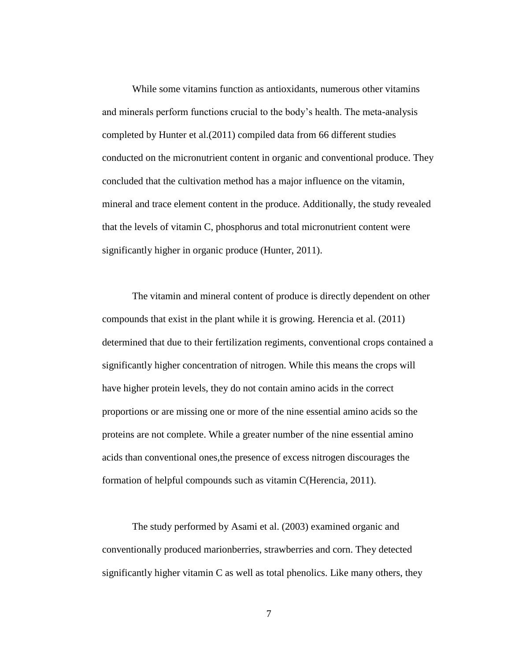While some vitamins function as antioxidants, numerous other vitamins and minerals perform functions crucial to the body's health. The meta-analysis completed by Hunter et al.(2011) compiled data from 66 different studies conducted on the micronutrient content in organic and conventional produce. They concluded that the cultivation method has a major influence on the vitamin, mineral and trace element content in the produce. Additionally, the study revealed that the levels of vitamin C, phosphorus and total micronutrient content were significantly higher in organic produce (Hunter, 2011).

The vitamin and mineral content of produce is directly dependent on other compounds that exist in the plant while it is growing. Herencia et al. (2011) determined that due to their fertilization regiments, conventional crops contained a significantly higher concentration of nitrogen. While this means the crops will have higher protein levels, they do not contain amino acids in the correct proportions or are missing one or more of the nine essential amino acids so the proteins are not complete. While a greater number of the nine essential amino acids than conventional ones,the presence of excess nitrogen discourages the formation of helpful compounds such as vitamin C(Herencia, 2011).

The study performed by Asami et al. (2003) examined organic and conventionally produced marionberries, strawberries and corn. They detected significantly higher vitamin C as well as total phenolics. Like many others, they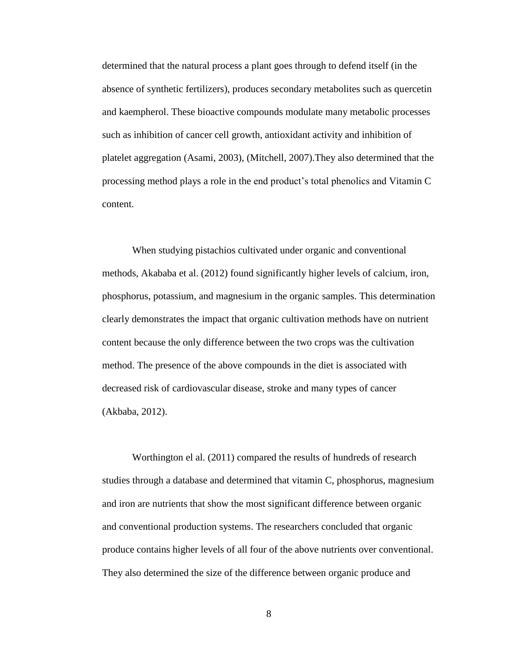determined that the natural process a plant goes through to defend itself (in the absence of synthetic fertilizers), produces secondary metabolites such as quercetin and kaempherol. These bioactive compounds modulate many metabolic processes such as inhibition of cancer cell growth, antioxidant activity and inhibition of platelet aggregation (Asami, 2003), (Mitchell, 2007).They also determined that the processing method plays a role in the end product's total phenolics and Vitamin C content.

When studying pistachios cultivated under organic and conventional methods, Akababa et al. (2012) found significantly higher levels of calcium, iron, phosphorus, potassium, and magnesium in the organic samples. This determination clearly demonstrates the impact that organic cultivation methods have on nutrient content because the only difference between the two crops was the cultivation method. The presence of the above compounds in the diet is associated with decreased risk of cardiovascular disease, stroke and many types of cancer (Akbaba, 2012).

Worthington el al. (2011) compared the results of hundreds of research studies through a database and determined that vitamin C, phosphorus, magnesium and iron are nutrients that show the most significant difference between organic and conventional production systems. The researchers concluded that organic produce contains higher levels of all four of the above nutrients over conventional. They also determined the size of the difference between organic produce and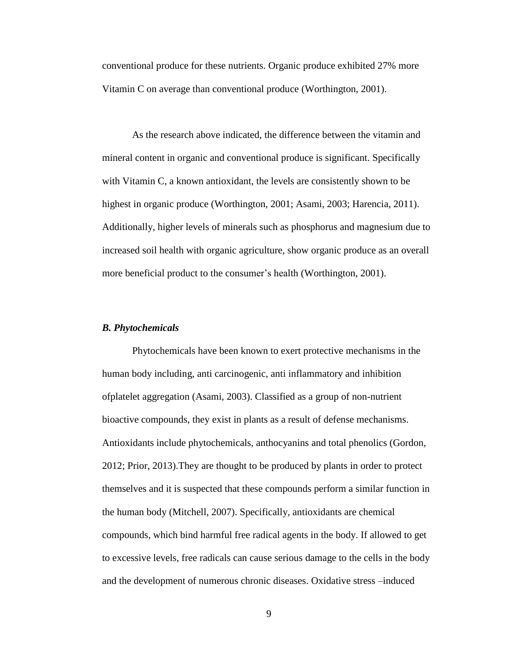conventional produce for these nutrients. Organic produce exhibited 27% more Vitamin C on average than conventional produce (Worthington, 2001).

As the research above indicated, the difference between the vitamin and mineral content in organic and conventional produce is significant. Specifically with Vitamin C, a known antioxidant, the levels are consistently shown to be highest in organic produce (Worthington, 2001; Asami, 2003; Harencia, 2011). Additionally, higher levels of minerals such as phosphorus and magnesium due to increased soil health with organic agriculture, show organic produce as an overall more beneficial product to the consumer's health (Worthington, 2001).

#### *B. Phytochemicals*

Phytochemicals have been known to exert protective mechanisms in the human body including, anti carcinogenic, anti inflammatory and inhibition ofplatelet aggregation (Asami, 2003). Classified as a group of non-nutrient bioactive compounds, they exist in plants as a result of defense mechanisms. Antioxidants include phytochemicals, anthocyanins and total phenolics (Gordon, 2012; Prior, 2013).They are thought to be produced by plants in order to protect themselves and it is suspected that these compounds perform a similar function in the human body (Mitchell, 2007). Specifically, antioxidants are chemical compounds, which bind harmful free radical agents in the body. If allowed to get to excessive levels, free radicals can cause serious damage to the cells in the body and the development of numerous chronic diseases. Oxidative stress –induced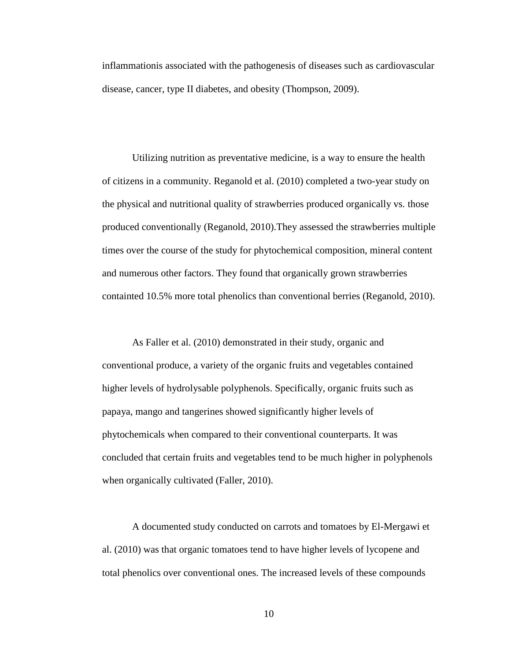inflammationis associated with the pathogenesis of diseases such as cardiovascular disease, cancer, type II diabetes, and obesity (Thompson, 2009).

Utilizing nutrition as preventative medicine, is a way to ensure the health of citizens in a community. Reganold et al. (2010) completed a two-year study on the physical and nutritional quality of strawberries produced organically vs. those produced conventionally (Reganold, 2010).They assessed the strawberries multiple times over the course of the study for phytochemical composition, mineral content and numerous other factors. They found that organically grown strawberries containted 10.5% more total phenolics than conventional berries (Reganold, 2010).

As Faller et al. (2010) demonstrated in their study, organic and conventional produce, a variety of the organic fruits and vegetables contained higher levels of hydrolysable polyphenols. Specifically, organic fruits such as papaya, mango and tangerines showed significantly higher levels of phytochemicals when compared to their conventional counterparts. It was concluded that certain fruits and vegetables tend to be much higher in polyphenols when organically cultivated (Faller, 2010).

A documented study conducted on carrots and tomatoes by El-Mergawi et al. (2010) was that organic tomatoes tend to have higher levels of lycopene and total phenolics over conventional ones. The increased levels of these compounds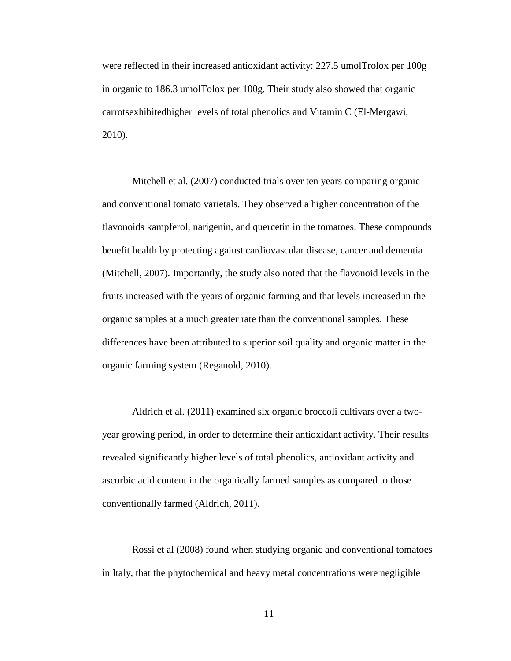were reflected in their increased antioxidant activity: 227.5 umolTrolox per 100g in organic to 186.3 umolTolox per 100g. Their study also showed that organic carrotsexhibitedhigher levels of total phenolics and Vitamin C (El-Mergawi, 2010).

Mitchell et al. (2007) conducted trials over ten years comparing organic and conventional tomato varietals. They observed a higher concentration of the flavonoids kampferol, narigenin, and quercetin in the tomatoes. These compounds benefit health by protecting against cardiovascular disease, cancer and dementia (Mitchell, 2007). Importantly, the study also noted that the flavonoid levels in the fruits increased with the years of organic farming and that levels increased in the organic samples at a much greater rate than the conventional samples. These differences have been attributed to superior soil quality and organic matter in the organic farming system (Reganold, 2010).

Aldrich et al. (2011) examined six organic broccoli cultivars over a twoyear growing period, in order to determine their antioxidant activity. Their results revealed significantly higher levels of total phenolics, antioxidant activity and ascorbic acid content in the organically farmed samples as compared to those conventionally farmed (Aldrich, 2011).

Rossi et al (2008) found when studying organic and conventional tomatoes in Italy, that the phytochemical and heavy metal concentrations were negligible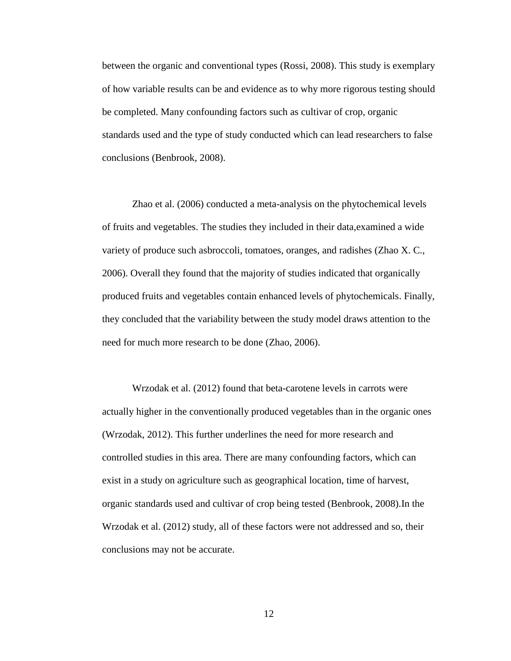between the organic and conventional types (Rossi, 2008). This study is exemplary of how variable results can be and evidence as to why more rigorous testing should be completed. Many confounding factors such as cultivar of crop, organic standards used and the type of study conducted which can lead researchers to false conclusions (Benbrook, 2008).

Zhao et al. (2006) conducted a meta-analysis on the phytochemical levels of fruits and vegetables. The studies they included in their data,examined a wide variety of produce such asbroccoli, tomatoes, oranges, and radishes (Zhao X. C., 2006). Overall they found that the majority of studies indicated that organically produced fruits and vegetables contain enhanced levels of phytochemicals. Finally, they concluded that the variability between the study model draws attention to the need for much more research to be done (Zhao, 2006).

Wrzodak et al. (2012) found that beta-carotene levels in carrots were actually higher in the conventionally produced vegetables than in the organic ones (Wrzodak, 2012). This further underlines the need for more research and controlled studies in this area. There are many confounding factors, which can exist in a study on agriculture such as geographical location, time of harvest, organic standards used and cultivar of crop being tested (Benbrook, 2008).In the Wrzodak et al. (2012) study, all of these factors were not addressed and so, their conclusions may not be accurate.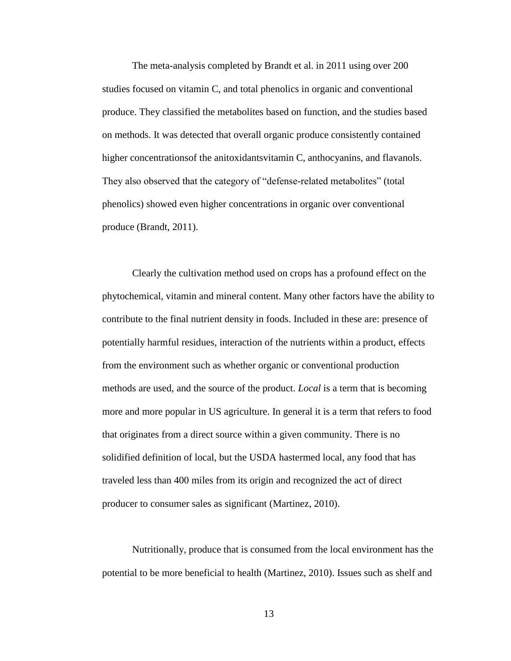The meta-analysis completed by Brandt et al. in 2011 using over 200 studies focused on vitamin C, and total phenolics in organic and conventional produce. They classified the metabolites based on function, and the studies based on methods. It was detected that overall organic produce consistently contained higher concentrationsof the anitoxidantsvitamin C, anthocyanins, and flavanols. They also observed that the category of "defense-related metabolites" (total phenolics) showed even higher concentrations in organic over conventional produce (Brandt, 2011).

Clearly the cultivation method used on crops has a profound effect on the phytochemical, vitamin and mineral content. Many other factors have the ability to contribute to the final nutrient density in foods. Included in these are: presence of potentially harmful residues, interaction of the nutrients within a product, effects from the environment such as whether organic or conventional production methods are used, and the source of the product. *Local* is a term that is becoming more and more popular in US agriculture. In general it is a term that refers to food that originates from a direct source within a given community. There is no solidified definition of local, but the USDA hastermed local, any food that has traveled less than 400 miles from its origin and recognized the act of direct producer to consumer sales as significant (Martinez, 2010).

Nutritionally, produce that is consumed from the local environment has the potential to be more beneficial to health (Martinez, 2010). Issues such as shelf and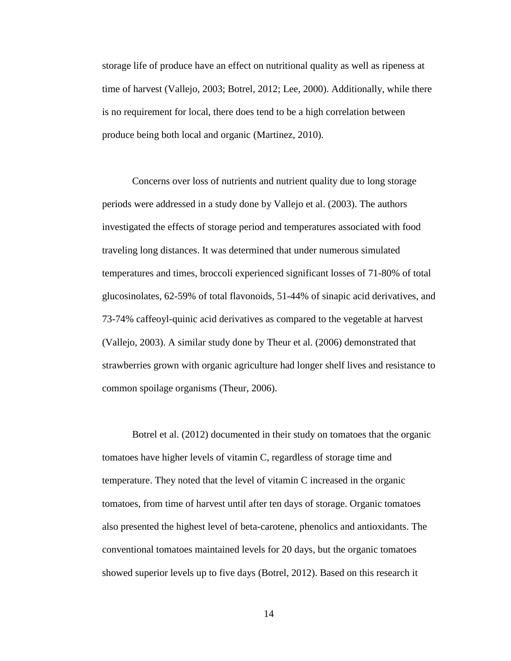storage life of produce have an effect on nutritional quality as well as ripeness at time of harvest (Vallejo, 2003; Botrel, 2012; Lee, 2000). Additionally, while there is no requirement for local, there does tend to be a high correlation between produce being both local and organic (Martinez, 2010).

Concerns over loss of nutrients and nutrient quality due to long storage periods were addressed in a study done by Vallejo et al. (2003). The authors investigated the effects of storage period and temperatures associated with food traveling long distances. It was determined that under numerous simulated temperatures and times, broccoli experienced significant losses of 71-80% of total glucosinolates, 62-59% of total flavonoids, 51-44% of sinapic acid derivatives, and 73-74% caffeoyl-quinic acid derivatives as compared to the vegetable at harvest (Vallejo, 2003). A similar study done by Theur et al. (2006) demonstrated that strawberries grown with organic agriculture had longer shelf lives and resistance to common spoilage organisms (Theur, 2006).

Botrel et al. (2012) documented in their study on tomatoes that the organic tomatoes have higher levels of vitamin C, regardless of storage time and temperature. They noted that the level of vitamin C increased in the organic tomatoes, from time of harvest until after ten days of storage. Organic tomatoes also presented the highest level of beta-carotene, phenolics and antioxidants. The conventional tomatoes maintained levels for 20 days, but the organic tomatoes showed superior levels up to five days (Botrel, 2012). Based on this research it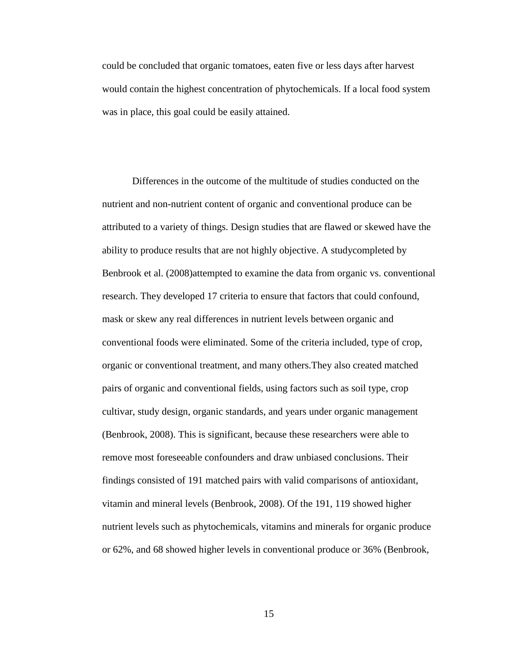could be concluded that organic tomatoes, eaten five or less days after harvest would contain the highest concentration of phytochemicals. If a local food system was in place, this goal could be easily attained.

Differences in the outcome of the multitude of studies conducted on the nutrient and non-nutrient content of organic and conventional produce can be attributed to a variety of things. Design studies that are flawed or skewed have the ability to produce results that are not highly objective. A studycompleted by Benbrook et al. (2008)attempted to examine the data from organic vs. conventional research. They developed 17 criteria to ensure that factors that could confound, mask or skew any real differences in nutrient levels between organic and conventional foods were eliminated. Some of the criteria included, type of crop, organic or conventional treatment, and many others.They also created matched pairs of organic and conventional fields, using factors such as soil type, crop cultivar, study design, organic standards, and years under organic management (Benbrook, 2008). This is significant, because these researchers were able to remove most foreseeable confounders and draw unbiased conclusions. Their findings consisted of 191 matched pairs with valid comparisons of antioxidant, vitamin and mineral levels (Benbrook, 2008). Of the 191, 119 showed higher nutrient levels such as phytochemicals, vitamins and minerals for organic produce or 62%, and 68 showed higher levels in conventional produce or 36% (Benbrook,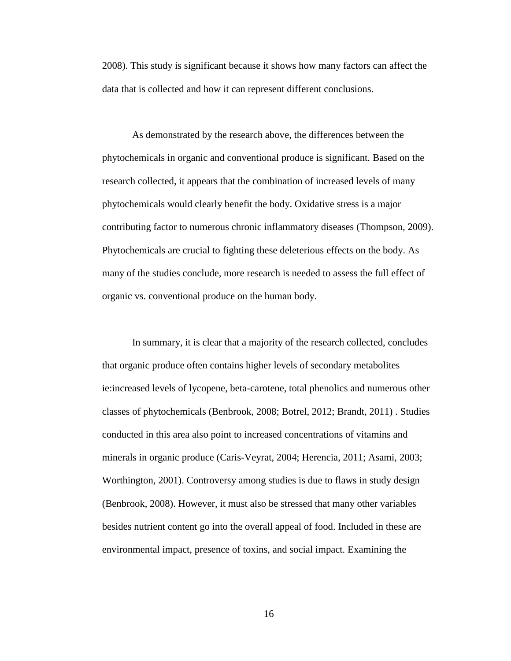2008). This study is significant because it shows how many factors can affect the data that is collected and how it can represent different conclusions.

As demonstrated by the research above, the differences between the phytochemicals in organic and conventional produce is significant. Based on the research collected, it appears that the combination of increased levels of many phytochemicals would clearly benefit the body. Oxidative stress is a major contributing factor to numerous chronic inflammatory diseases (Thompson, 2009). Phytochemicals are crucial to fighting these deleterious effects on the body. As many of the studies conclude, more research is needed to assess the full effect of organic vs. conventional produce on the human body.

In summary, it is clear that a majority of the research collected, concludes that organic produce often contains higher levels of secondary metabolites ie:increased levels of lycopene, beta-carotene, total phenolics and numerous other classes of phytochemicals (Benbrook, 2008; Botrel, 2012; Brandt, 2011) . Studies conducted in this area also point to increased concentrations of vitamins and minerals in organic produce (Caris-Veyrat, 2004; Herencia, 2011; Asami, 2003; Worthington, 2001). Controversy among studies is due to flaws in study design (Benbrook, 2008). However, it must also be stressed that many other variables besides nutrient content go into the overall appeal of food. Included in these are environmental impact, presence of toxins, and social impact. Examining the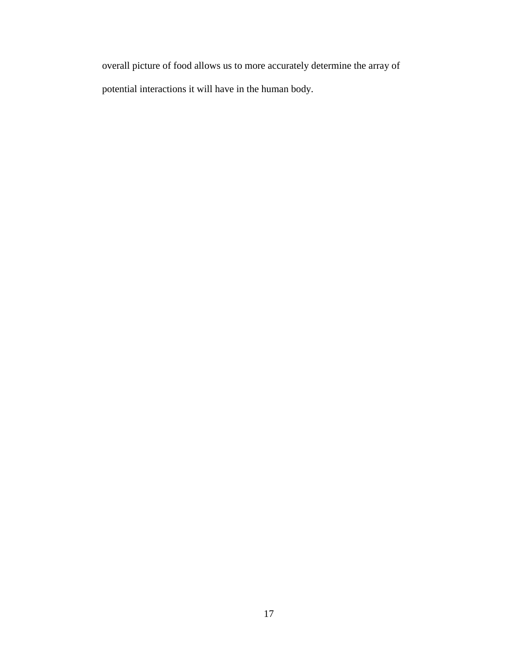overall picture of food allows us to more accurately determine the array of potential interactions it will have in the human body.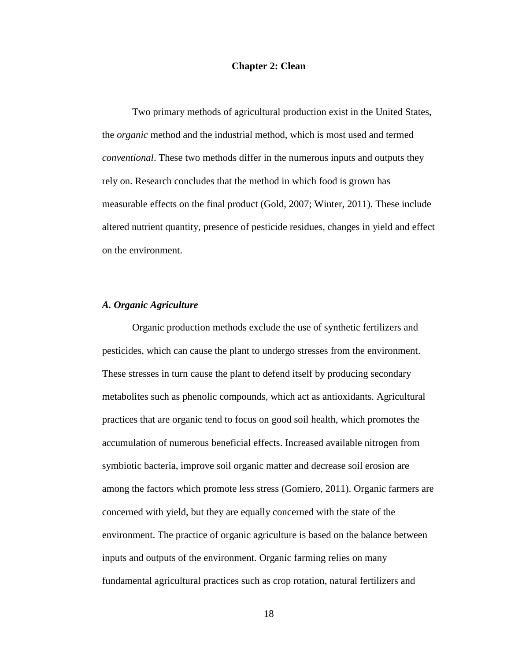#### **Chapter 2: Clean**

Two primary methods of agricultural production exist in the United States, the *organic* method and the industrial method, which is most used and termed *conventional*. These two methods differ in the numerous inputs and outputs they rely on. Research concludes that the method in which food is grown has measurable effects on the final product (Gold, 2007; Winter, 2011). These include altered nutrient quantity, presence of pesticide residues, changes in yield and effect on the environment.

#### *A. Organic Agriculture*

Organic production methods exclude the use of synthetic fertilizers and pesticides, which can cause the plant to undergo stresses from the environment. These stresses in turn cause the plant to defend itself by producing secondary metabolites such as phenolic compounds, which act as antioxidants. Agricultural practices that are organic tend to focus on good soil health, which promotes the accumulation of numerous beneficial effects. Increased available nitrogen from symbiotic bacteria, improve soil organic matter and decrease soil erosion are among the factors which promote less stress (Gomiero, 2011). Organic farmers are concerned with yield, but they are equally concerned with the state of the environment. The practice of organic agriculture is based on the balance between inputs and outputs of the environment. Organic farming relies on many fundamental agricultural practices such as crop rotation, natural fertilizers and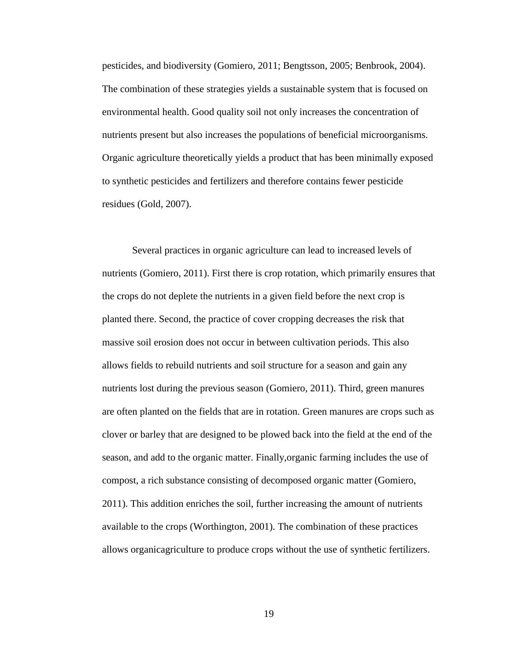pesticides, and biodiversity (Gomiero, 2011; Bengtsson, 2005; Benbrook, 2004). The combination of these strategies yields a sustainable system that is focused on environmental health. Good quality soil not only increases the concentration of nutrients present but also increases the populations of beneficial microorganisms. Organic agriculture theoretically yields a product that has been minimally exposed to synthetic pesticides and fertilizers and therefore contains fewer pesticide residues (Gold, 2007).

Several practices in organic agriculture can lead to increased levels of nutrients (Gomiero, 2011). First there is crop rotation, which primarily ensures that the crops do not deplete the nutrients in a given field before the next crop is planted there. Second, the practice of cover cropping decreases the risk that massive soil erosion does not occur in between cultivation periods. This also allows fields to rebuild nutrients and soil structure for a season and gain any nutrients lost during the previous season (Gomiero, 2011). Third, green manures are often planted on the fields that are in rotation. Green manures are crops such as clover or barley that are designed to be plowed back into the field at the end of the season, and add to the organic matter. Finally,organic farming includes the use of compost, a rich substance consisting of decomposed organic matter (Gomiero, 2011). This addition enriches the soil, further increasing the amount of nutrients available to the crops (Worthington, 2001). The combination of these practices allows organicagriculture to produce crops without the use of synthetic fertilizers.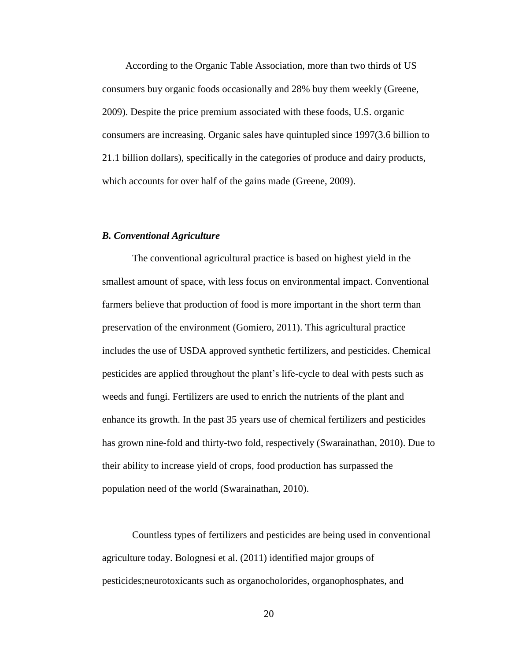According to the Organic Table Association, more than two thirds of US consumers buy organic foods occasionally and 28% buy them weekly (Greene, 2009). Despite the price premium associated with these foods, U.S. organic consumers are increasing. Organic sales have quintupled since 1997(3.6 billion to 21.1 billion dollars), specifically in the categories of produce and dairy products, which accounts for over half of the gains made (Greene, 2009).

#### *B. Conventional Agriculture*

The conventional agricultural practice is based on highest yield in the smallest amount of space, with less focus on environmental impact. Conventional farmers believe that production of food is more important in the short term than preservation of the environment (Gomiero, 2011). This agricultural practice includes the use of USDA approved synthetic fertilizers, and pesticides. Chemical pesticides are applied throughout the plant's life-cycle to deal with pests such as weeds and fungi. Fertilizers are used to enrich the nutrients of the plant and enhance its growth. In the past 35 years use of chemical fertilizers and pesticides has grown nine-fold and thirty-two fold, respectively (Swarainathan, 2010). Due to their ability to increase yield of crops, food production has surpassed the population need of the world (Swarainathan, 2010).

Countless types of fertilizers and pesticides are being used in conventional agriculture today. Bolognesi et al. (2011) identified major groups of pesticides;neurotoxicants such as organocholorides, organophosphates, and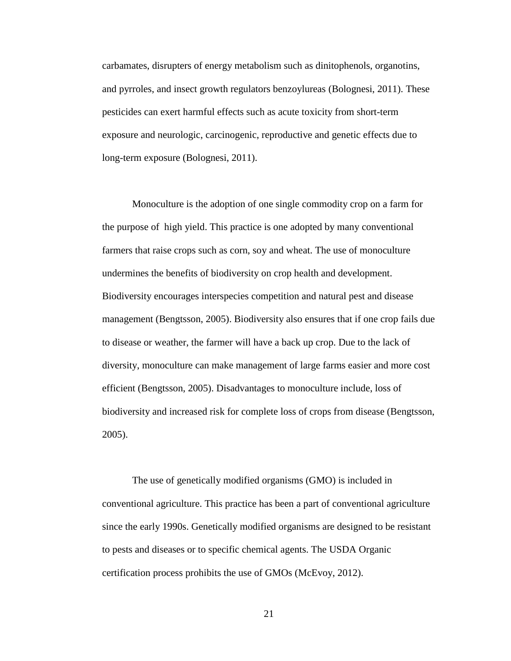carbamates, disrupters of energy metabolism such as dinitophenols, organotins, and pyrroles, and insect growth regulators benzoylureas (Bolognesi, 2011). These pesticides can exert harmful effects such as acute toxicity from short-term exposure and neurologic, carcinogenic, reproductive and genetic effects due to long-term exposure (Bolognesi, 2011).

Monoculture is the adoption of one single commodity crop on a farm for the purpose of high yield. This practice is one adopted by many conventional farmers that raise crops such as corn, soy and wheat. The use of monoculture undermines the benefits of biodiversity on crop health and development. Biodiversity encourages interspecies competition and natural pest and disease management (Bengtsson, 2005). Biodiversity also ensures that if one crop fails due to disease or weather, the farmer will have a back up crop. Due to the lack of diversity, monoculture can make management of large farms easier and more cost efficient (Bengtsson, 2005). Disadvantages to monoculture include, loss of biodiversity and increased risk for complete loss of crops from disease (Bengtsson, 2005).

The use of genetically modified organisms (GMO) is included in conventional agriculture. This practice has been a part of conventional agriculture since the early 1990s. Genetically modified organisms are designed to be resistant to pests and diseases or to specific chemical agents. The USDA Organic certification process prohibits the use of GMOs (McEvoy, 2012).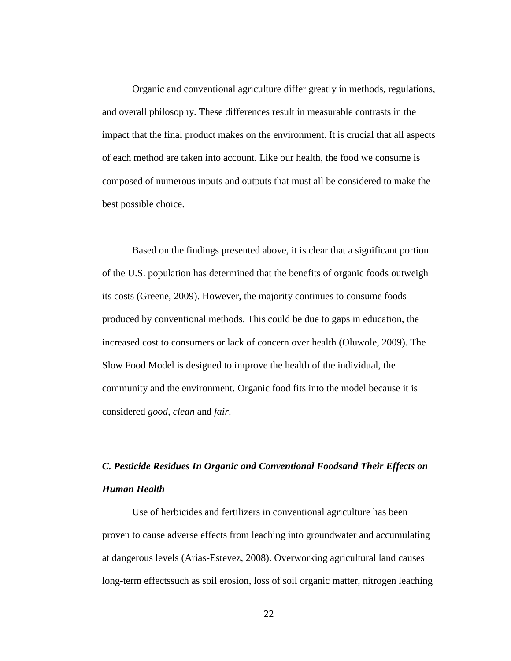Organic and conventional agriculture differ greatly in methods, regulations, and overall philosophy. These differences result in measurable contrasts in the impact that the final product makes on the environment. It is crucial that all aspects of each method are taken into account. Like our health, the food we consume is composed of numerous inputs and outputs that must all be considered to make the best possible choice.

Based on the findings presented above, it is clear that a significant portion of the U.S. population has determined that the benefits of organic foods outweigh its costs (Greene, 2009). However, the majority continues to consume foods produced by conventional methods. This could be due to gaps in education, the increased cost to consumers or lack of concern over health (Oluwole, 2009). The Slow Food Model is designed to improve the health of the individual, the community and the environment. Organic food fits into the model because it is considered *good, clean* and *fair*.

# *C. Pesticide Residues In Organic and Conventional Foodsand Their Effects on Human Health*

Use of herbicides and fertilizers in conventional agriculture has been proven to cause adverse effects from leaching into groundwater and accumulating at dangerous levels (Arias-Estevez, 2008). Overworking agricultural land causes long-term effectssuch as soil erosion, loss of soil organic matter, nitrogen leaching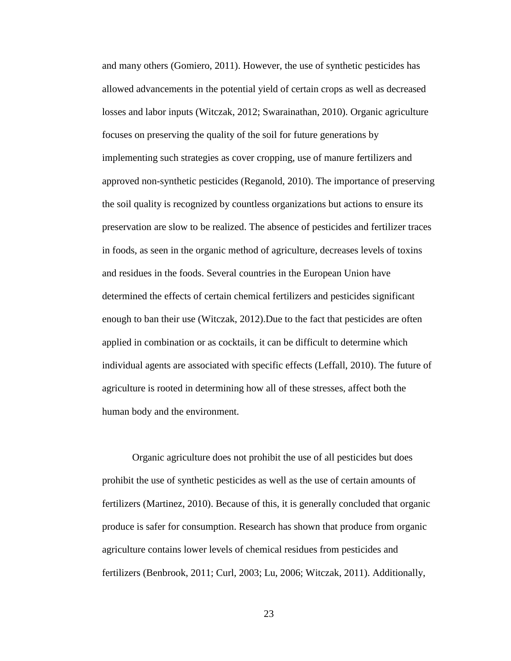and many others (Gomiero, 2011). However, the use of synthetic pesticides has allowed advancements in the potential yield of certain crops as well as decreased losses and labor inputs (Witczak, 2012; Swarainathan, 2010). Organic agriculture focuses on preserving the quality of the soil for future generations by implementing such strategies as cover cropping, use of manure fertilizers and approved non-synthetic pesticides (Reganold, 2010). The importance of preserving the soil quality is recognized by countless organizations but actions to ensure its preservation are slow to be realized. The absence of pesticides and fertilizer traces in foods, as seen in the organic method of agriculture, decreases levels of toxins and residues in the foods. Several countries in the European Union have determined the effects of certain chemical fertilizers and pesticides significant enough to ban their use (Witczak, 2012).Due to the fact that pesticides are often applied in combination or as cocktails, it can be difficult to determine which individual agents are associated with specific effects (Leffall, 2010). The future of agriculture is rooted in determining how all of these stresses, affect both the human body and the environment.

Organic agriculture does not prohibit the use of all pesticides but does prohibit the use of synthetic pesticides as well as the use of certain amounts of fertilizers (Martinez, 2010). Because of this, it is generally concluded that organic produce is safer for consumption. Research has shown that produce from organic agriculture contains lower levels of chemical residues from pesticides and fertilizers (Benbrook, 2011; Curl, 2003; Lu, 2006; Witczak, 2011). Additionally,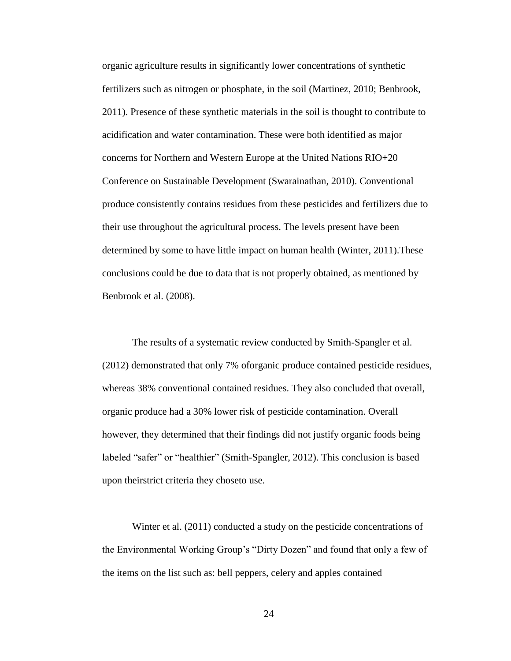organic agriculture results in significantly lower concentrations of synthetic fertilizers such as nitrogen or phosphate, in the soil (Martinez, 2010; Benbrook, 2011). Presence of these synthetic materials in the soil is thought to contribute to acidification and water contamination. These were both identified as major concerns for Northern and Western Europe at the United Nations RIO+20 Conference on Sustainable Development (Swarainathan, 2010). Conventional produce consistently contains residues from these pesticides and fertilizers due to their use throughout the agricultural process. The levels present have been determined by some to have little impact on human health (Winter, 2011).These conclusions could be due to data that is not properly obtained, as mentioned by Benbrook et al. (2008).

The results of a systematic review conducted by Smith-Spangler et al. (2012) demonstrated that only 7% oforganic produce contained pesticide residues, whereas 38% conventional contained residues. They also concluded that overall, organic produce had a 30% lower risk of pesticide contamination. Overall however, they determined that their findings did not justify organic foods being labeled "safer" or "healthier" (Smith-Spangler, 2012). This conclusion is based upon theirstrict criteria they choseto use.

Winter et al. (2011) conducted a study on the pesticide concentrations of the Environmental Working Group's "Dirty Dozen" and found that only a few of the items on the list such as: bell peppers, celery and apples contained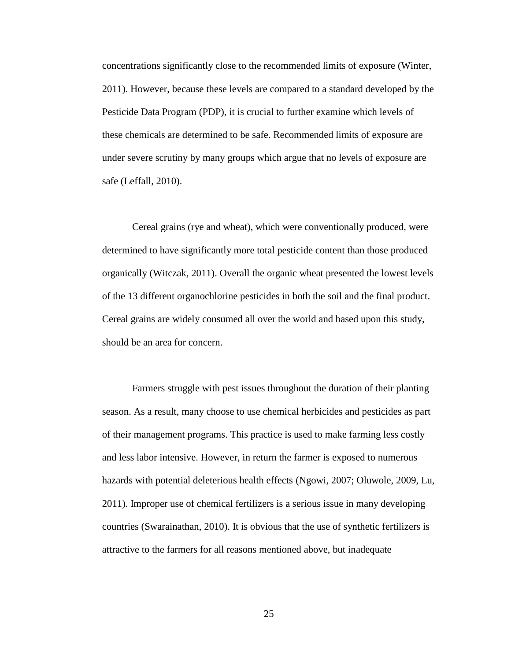concentrations significantly close to the recommended limits of exposure (Winter, 2011). However, because these levels are compared to a standard developed by the Pesticide Data Program (PDP), it is crucial to further examine which levels of these chemicals are determined to be safe. Recommended limits of exposure are under severe scrutiny by many groups which argue that no levels of exposure are safe (Leffall, 2010).

Cereal grains (rye and wheat), which were conventionally produced, were determined to have significantly more total pesticide content than those produced organically (Witczak, 2011). Overall the organic wheat presented the lowest levels of the 13 different organochlorine pesticides in both the soil and the final product. Cereal grains are widely consumed all over the world and based upon this study, should be an area for concern.

Farmers struggle with pest issues throughout the duration of their planting season. As a result, many choose to use chemical herbicides and pesticides as part of their management programs. This practice is used to make farming less costly and less labor intensive. However, in return the farmer is exposed to numerous hazards with potential deleterious health effects (Ngowi, 2007; Oluwole, 2009, Lu, 2011). Improper use of chemical fertilizers is a serious issue in many developing countries (Swarainathan, 2010). It is obvious that the use of synthetic fertilizers is attractive to the farmers for all reasons mentioned above, but inadequate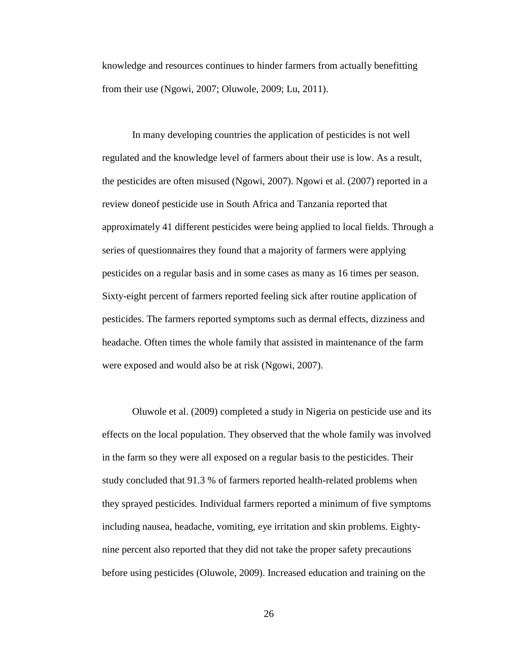knowledge and resources continues to hinder farmers from actually benefitting from their use (Ngowi, 2007; Oluwole, 2009; Lu, 2011).

In many developing countries the application of pesticides is not well regulated and the knowledge level of farmers about their use is low. As a result, the pesticides are often misused (Ngowi, 2007). Ngowi et al. (2007) reported in a review doneof pesticide use in South Africa and Tanzania reported that approximately 41 different pesticides were being applied to local fields. Through a series of questionnaires they found that a majority of farmers were applying pesticides on a regular basis and in some cases as many as 16 times per season. Sixty-eight percent of farmers reported feeling sick after routine application of pesticides. The farmers reported symptoms such as dermal effects, dizziness and headache. Often times the whole family that assisted in maintenance of the farm were exposed and would also be at risk (Ngowi, 2007).

Oluwole et al. (2009) completed a study in Nigeria on pesticide use and its effects on the local population. They observed that the whole family was involved in the farm so they were all exposed on a regular basis to the pesticides. Their study concluded that 91.3 % of farmers reported health-related problems when they sprayed pesticides. Individual farmers reported a minimum of five symptoms including nausea, headache, vomiting, eye irritation and skin problems. Eightynine percent also reported that they did not take the proper safety precautions before using pesticides (Oluwole, 2009). Increased education and training on the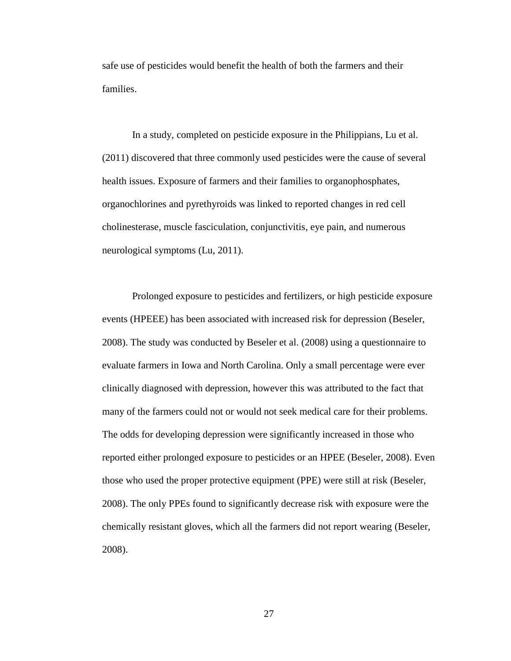safe use of pesticides would benefit the health of both the farmers and their families.

In a study, completed on pesticide exposure in the Philippians, Lu et al. (2011) discovered that three commonly used pesticides were the cause of several health issues. Exposure of farmers and their families to organophosphates, organochlorines and pyrethyroids was linked to reported changes in red cell cholinesterase, muscle fasciculation, conjunctivitis, eye pain, and numerous neurological symptoms (Lu, 2011).

Prolonged exposure to pesticides and fertilizers, or high pesticide exposure events (HPEEE) has been associated with increased risk for depression (Beseler, 2008). The study was conducted by Beseler et al. (2008) using a questionnaire to evaluate farmers in Iowa and North Carolina. Only a small percentage were ever clinically diagnosed with depression, however this was attributed to the fact that many of the farmers could not or would not seek medical care for their problems. The odds for developing depression were significantly increased in those who reported either prolonged exposure to pesticides or an HPEE (Beseler, 2008). Even those who used the proper protective equipment (PPE) were still at risk (Beseler, 2008). The only PPEs found to significantly decrease risk with exposure were the chemically resistant gloves, which all the farmers did not report wearing (Beseler, 2008).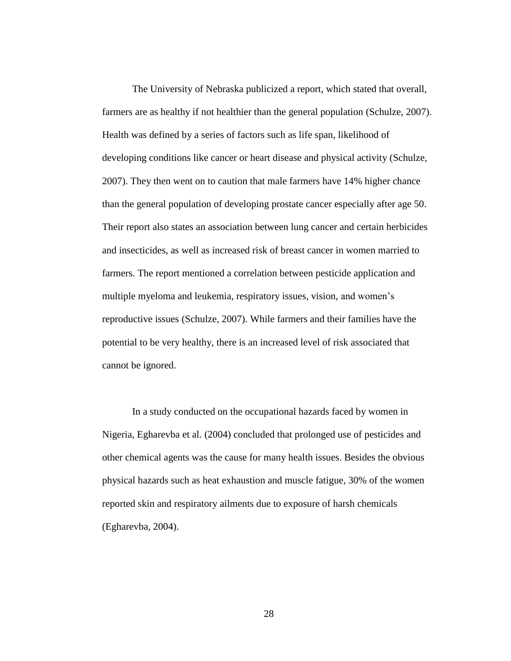The University of Nebraska publicized a report, which stated that overall, farmers are as healthy if not healthier than the general population (Schulze, 2007). Health was defined by a series of factors such as life span, likelihood of developing conditions like cancer or heart disease and physical activity (Schulze, 2007). They then went on to caution that male farmers have 14% higher chance than the general population of developing prostate cancer especially after age 50. Their report also states an association between lung cancer and certain herbicides and insecticides, as well as increased risk of breast cancer in women married to farmers. The report mentioned a correlation between pesticide application and multiple myeloma and leukemia, respiratory issues, vision, and women's reproductive issues (Schulze, 2007). While farmers and their families have the potential to be very healthy, there is an increased level of risk associated that cannot be ignored.

In a study conducted on the occupational hazards faced by women in Nigeria, Egharevba et al. (2004) concluded that prolonged use of pesticides and other chemical agents was the cause for many health issues. Besides the obvious physical hazards such as heat exhaustion and muscle fatigue, 30% of the women reported skin and respiratory ailments due to exposure of harsh chemicals (Egharevba, 2004).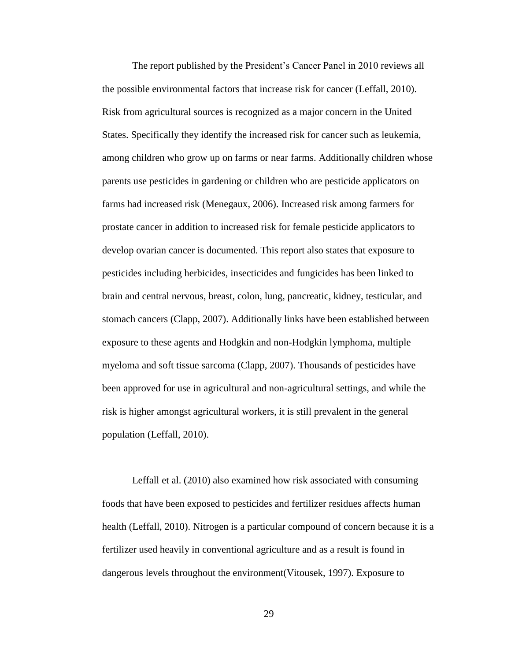The report published by the President's Cancer Panel in 2010 reviews all the possible environmental factors that increase risk for cancer (Leffall, 2010). Risk from agricultural sources is recognized as a major concern in the United States. Specifically they identify the increased risk for cancer such as leukemia, among children who grow up on farms or near farms. Additionally children whose parents use pesticides in gardening or children who are pesticide applicators on farms had increased risk (Menegaux, 2006). Increased risk among farmers for prostate cancer in addition to increased risk for female pesticide applicators to develop ovarian cancer is documented. This report also states that exposure to pesticides including herbicides, insecticides and fungicides has been linked to brain and central nervous, breast, colon, lung, pancreatic, kidney, testicular, and stomach cancers (Clapp, 2007). Additionally links have been established between exposure to these agents and Hodgkin and non-Hodgkin lymphoma, multiple myeloma and soft tissue sarcoma (Clapp, 2007). Thousands of pesticides have been approved for use in agricultural and non-agricultural settings, and while the risk is higher amongst agricultural workers, it is still prevalent in the general population (Leffall, 2010).

Leffall et al. (2010) also examined how risk associated with consuming foods that have been exposed to pesticides and fertilizer residues affects human health (Leffall, 2010). Nitrogen is a particular compound of concern because it is a fertilizer used heavily in conventional agriculture and as a result is found in dangerous levels throughout the environment(Vitousek, 1997). Exposure to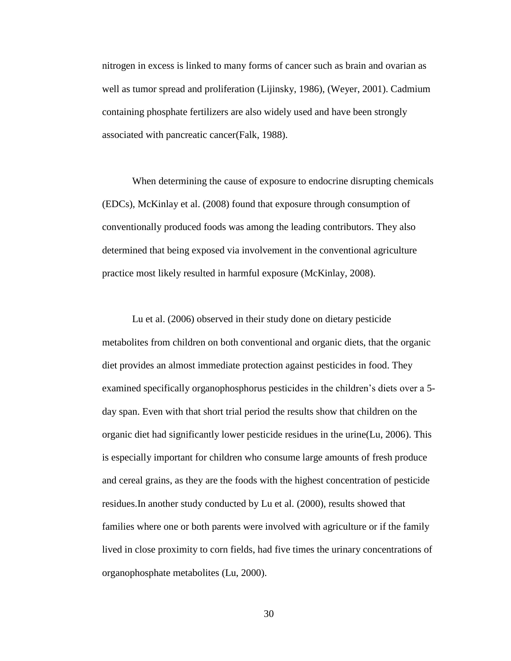nitrogen in excess is linked to many forms of cancer such as brain and ovarian as well as tumor spread and proliferation (Lijinsky, 1986), (Weyer, 2001). Cadmium containing phosphate fertilizers are also widely used and have been strongly associated with pancreatic cancer(Falk, 1988).

When determining the cause of exposure to endocrine disrupting chemicals (EDCs), McKinlay et al. (2008) found that exposure through consumption of conventionally produced foods was among the leading contributors. They also determined that being exposed via involvement in the conventional agriculture practice most likely resulted in harmful exposure (McKinlay, 2008).

Lu et al. (2006) observed in their study done on dietary pesticide metabolites from children on both conventional and organic diets, that the organic diet provides an almost immediate protection against pesticides in food. They examined specifically organophosphorus pesticides in the children's diets over a 5 day span. Even with that short trial period the results show that children on the organic diet had significantly lower pesticide residues in the urine(Lu, 2006). This is especially important for children who consume large amounts of fresh produce and cereal grains, as they are the foods with the highest concentration of pesticide residues.In another study conducted by Lu et al. (2000), results showed that families where one or both parents were involved with agriculture or if the family lived in close proximity to corn fields, had five times the urinary concentrations of organophosphate metabolites (Lu, 2000).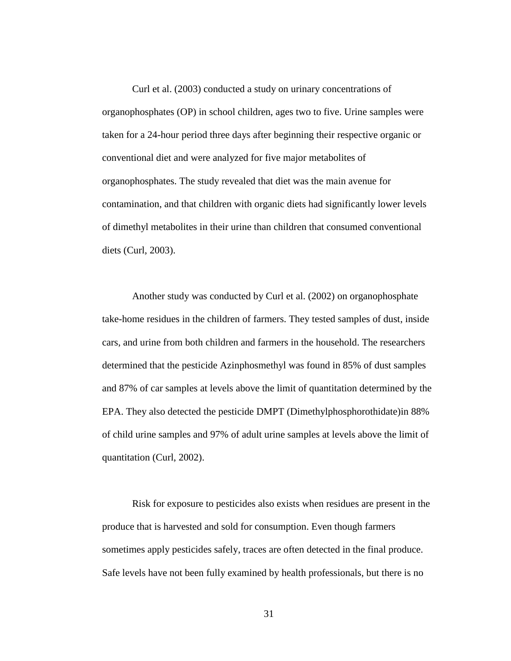Curl et al. (2003) conducted a study on urinary concentrations of organophosphates (OP) in school children, ages two to five. Urine samples were taken for a 24-hour period three days after beginning their respective organic or conventional diet and were analyzed for five major metabolites of organophosphates. The study revealed that diet was the main avenue for contamination, and that children with organic diets had significantly lower levels of dimethyl metabolites in their urine than children that consumed conventional diets (Curl, 2003).

Another study was conducted by Curl et al. (2002) on organophosphate take-home residues in the children of farmers. They tested samples of dust, inside cars, and urine from both children and farmers in the household. The researchers determined that the pesticide Azinphosmethyl was found in 85% of dust samples and 87% of car samples at levels above the limit of quantitation determined by the EPA. They also detected the pesticide DMPT (Dimethylphosphorothidate)in 88% of child urine samples and 97% of adult urine samples at levels above the limit of quantitation (Curl, 2002).

Risk for exposure to pesticides also exists when residues are present in the produce that is harvested and sold for consumption. Even though farmers sometimes apply pesticides safely, traces are often detected in the final produce. Safe levels have not been fully examined by health professionals, but there is no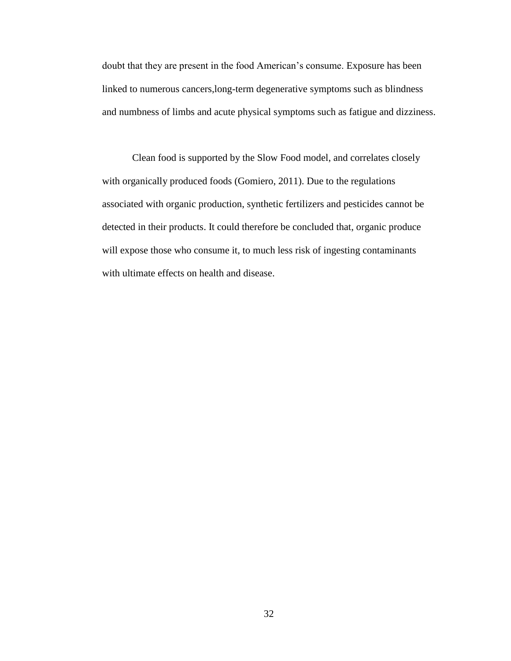doubt that they are present in the food American's consume. Exposure has been linked to numerous cancers,long-term degenerative symptoms such as blindness and numbness of limbs and acute physical symptoms such as fatigue and dizziness.

Clean food is supported by the Slow Food model, and correlates closely with organically produced foods (Gomiero, 2011). Due to the regulations associated with organic production, synthetic fertilizers and pesticides cannot be detected in their products. It could therefore be concluded that, organic produce will expose those who consume it, to much less risk of ingesting contaminants with ultimate effects on health and disease.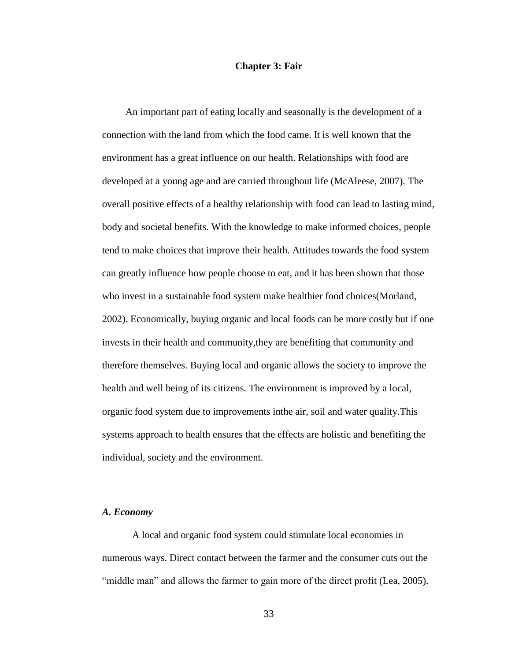#### **Chapter 3: Fair**

An important part of eating locally and seasonally is the development of a connection with the land from which the food came. It is well known that the environment has a great influence on our health. Relationships with food are developed at a young age and are carried throughout life (McAleese, 2007). The overall positive effects of a healthy relationship with food can lead to lasting mind, body and societal benefits. With the knowledge to make informed choices, people tend to make choices that improve their health. Attitudes towards the food system can greatly influence how people choose to eat, and it has been shown that those who invest in a sustainable food system make healthier food choices(Morland, 2002). Economically, buying organic and local foods can be more costly but if one invests in their health and community,they are benefiting that community and therefore themselves. Buying local and organic allows the society to improve the health and well being of its citizens. The environment is improved by a local, organic food system due to improvements inthe air, soil and water quality.This systems approach to health ensures that the effects are holistic and benefiting the individual, society and the environment.

#### *A. Economy*

A local and organic food system could stimulate local economies in numerous ways. Direct contact between the farmer and the consumer cuts out the "middle man" and allows the farmer to gain more of the direct profit (Lea, 2005).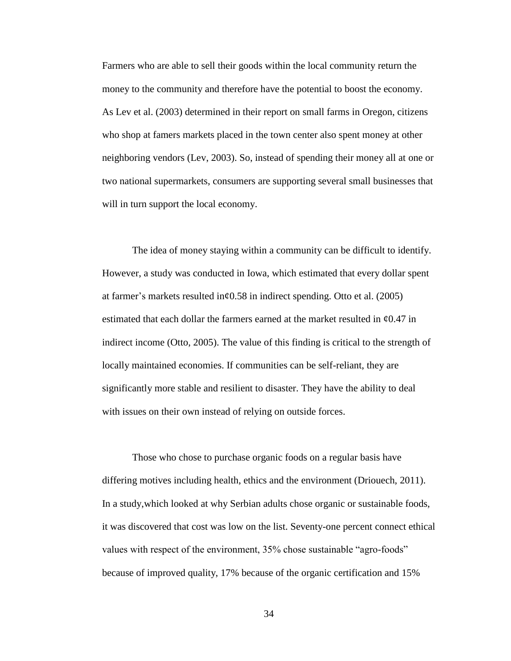Farmers who are able to sell their goods within the local community return the money to the community and therefore have the potential to boost the economy. As Lev et al. (2003) determined in their report on small farms in Oregon, citizens who shop at famers markets placed in the town center also spent money at other neighboring vendors (Lev, 2003). So, instead of spending their money all at one or two national supermarkets, consumers are supporting several small businesses that will in turn support the local economy.

The idea of money staying within a community can be difficult to identify. However, a study was conducted in Iowa, which estimated that every dollar spent at farmer's markets resulted in¢0.58 in indirect spending. Otto et al. (2005) estimated that each dollar the farmers earned at the market resulted in  $\mathcal{E}0.47$  in indirect income (Otto, 2005). The value of this finding is critical to the strength of locally maintained economies. If communities can be self-reliant, they are significantly more stable and resilient to disaster. They have the ability to deal with issues on their own instead of relying on outside forces.

Those who chose to purchase organic foods on a regular basis have differing motives including health, ethics and the environment (Driouech, 2011). In a study,which looked at why Serbian adults chose organic or sustainable foods, it was discovered that cost was low on the list. Seventy-one percent connect ethical values with respect of the environment, 35% chose sustainable "agro-foods" because of improved quality, 17% because of the organic certification and 15%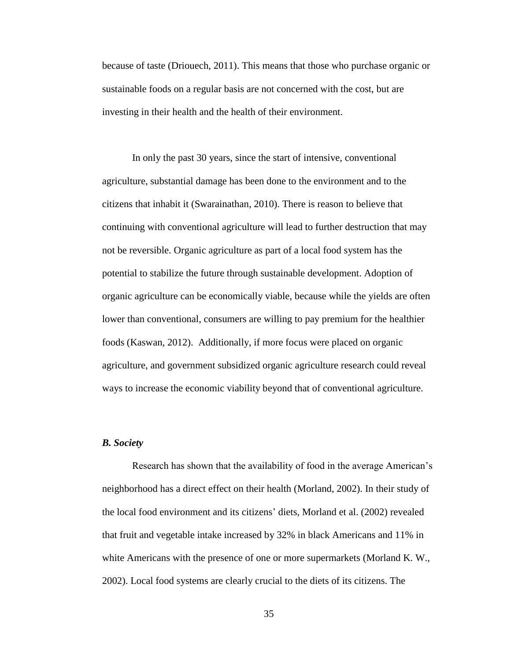because of taste (Driouech, 2011). This means that those who purchase organic or sustainable foods on a regular basis are not concerned with the cost, but are investing in their health and the health of their environment.

In only the past 30 years, since the start of intensive, conventional agriculture, substantial damage has been done to the environment and to the citizens that inhabit it (Swarainathan, 2010). There is reason to believe that continuing with conventional agriculture will lead to further destruction that may not be reversible. Organic agriculture as part of a local food system has the potential to stabilize the future through sustainable development. Adoption of organic agriculture can be economically viable, because while the yields are often lower than conventional, consumers are willing to pay premium for the healthier foods (Kaswan, 2012). Additionally, if more focus were placed on organic agriculture, and government subsidized organic agriculture research could reveal ways to increase the economic viability beyond that of conventional agriculture.

#### *B. Society*

Research has shown that the availability of food in the average American's neighborhood has a direct effect on their health (Morland, 2002). In their study of the local food environment and its citizens' diets, Morland et al. (2002) revealed that fruit and vegetable intake increased by 32% in black Americans and 11% in white Americans with the presence of one or more supermarkets (Morland K. W., 2002). Local food systems are clearly crucial to the diets of its citizens. The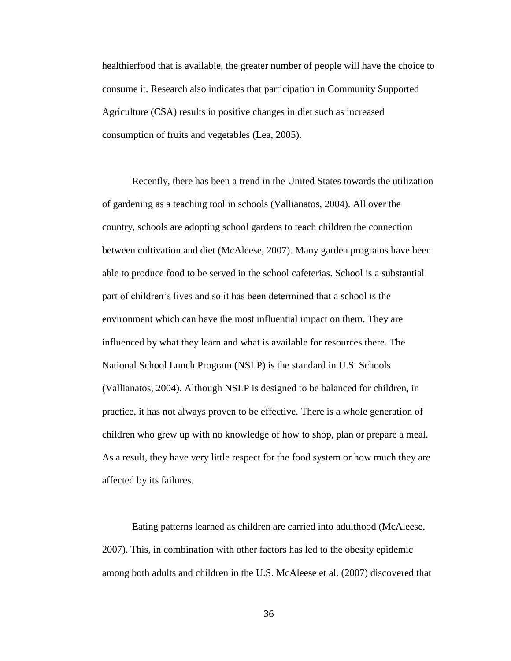healthierfood that is available, the greater number of people will have the choice to consume it. Research also indicates that participation in Community Supported Agriculture (CSA) results in positive changes in diet such as increased consumption of fruits and vegetables (Lea, 2005).

Recently, there has been a trend in the United States towards the utilization of gardening as a teaching tool in schools (Vallianatos, 2004). All over the country, schools are adopting school gardens to teach children the connection between cultivation and diet (McAleese, 2007). Many garden programs have been able to produce food to be served in the school cafeterias. School is a substantial part of children's lives and so it has been determined that a school is the environment which can have the most influential impact on them. They are influenced by what they learn and what is available for resources there. The National School Lunch Program (NSLP) is the standard in U.S. Schools (Vallianatos, 2004). Although NSLP is designed to be balanced for children, in practice, it has not always proven to be effective. There is a whole generation of children who grew up with no knowledge of how to shop, plan or prepare a meal. As a result, they have very little respect for the food system or how much they are affected by its failures.

Eating patterns learned as children are carried into adulthood (McAleese, 2007). This, in combination with other factors has led to the obesity epidemic among both adults and children in the U.S. McAleese et al. (2007) discovered that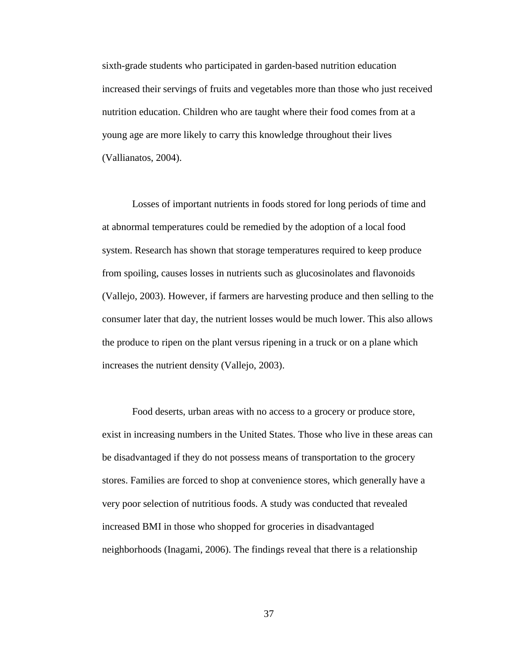sixth-grade students who participated in garden-based nutrition education increased their servings of fruits and vegetables more than those who just received nutrition education. Children who are taught where their food comes from at a young age are more likely to carry this knowledge throughout their lives (Vallianatos, 2004).

Losses of important nutrients in foods stored for long periods of time and at abnormal temperatures could be remedied by the adoption of a local food system. Research has shown that storage temperatures required to keep produce from spoiling, causes losses in nutrients such as glucosinolates and flavonoids (Vallejo, 2003). However, if farmers are harvesting produce and then selling to the consumer later that day, the nutrient losses would be much lower. This also allows the produce to ripen on the plant versus ripening in a truck or on a plane which increases the nutrient density (Vallejo, 2003).

Food deserts, urban areas with no access to a grocery or produce store, exist in increasing numbers in the United States. Those who live in these areas can be disadvantaged if they do not possess means of transportation to the grocery stores. Families are forced to shop at convenience stores, which generally have a very poor selection of nutritious foods. A study was conducted that revealed increased BMI in those who shopped for groceries in disadvantaged neighborhoods (Inagami, 2006). The findings reveal that there is a relationship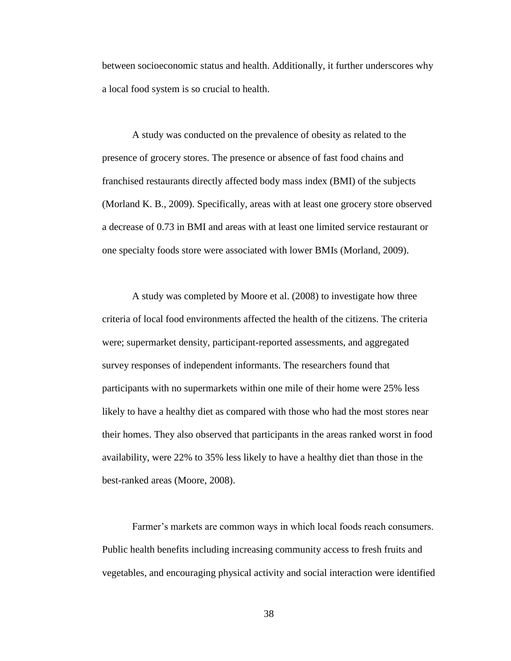between socioeconomic status and health. Additionally, it further underscores why a local food system is so crucial to health.

A study was conducted on the prevalence of obesity as related to the presence of grocery stores. The presence or absence of fast food chains and franchised restaurants directly affected body mass index (BMI) of the subjects (Morland K. B., 2009). Specifically, areas with at least one grocery store observed a decrease of 0.73 in BMI and areas with at least one limited service restaurant or one specialty foods store were associated with lower BMIs (Morland, 2009).

A study was completed by Moore et al. (2008) to investigate how three criteria of local food environments affected the health of the citizens. The criteria were; supermarket density, participant-reported assessments, and aggregated survey responses of independent informants. The researchers found that participants with no supermarkets within one mile of their home were 25% less likely to have a healthy diet as compared with those who had the most stores near their homes. They also observed that participants in the areas ranked worst in food availability, were 22% to 35% less likely to have a healthy diet than those in the best-ranked areas (Moore, 2008).

Farmer's markets are common ways in which local foods reach consumers. Public health benefits including increasing community access to fresh fruits and vegetables, and encouraging physical activity and social interaction were identified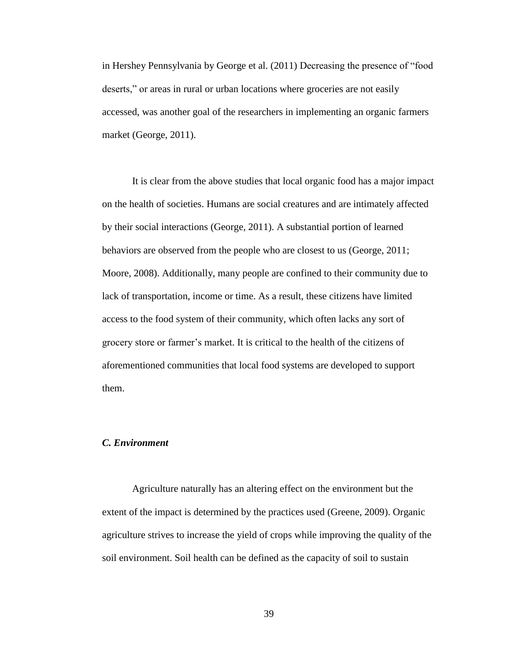in Hershey Pennsylvania by George et al. (2011) Decreasing the presence of "food deserts," or areas in rural or urban locations where groceries are not easily accessed, was another goal of the researchers in implementing an organic farmers market (George, 2011).

It is clear from the above studies that local organic food has a major impact on the health of societies. Humans are social creatures and are intimately affected by their social interactions (George, 2011). A substantial portion of learned behaviors are observed from the people who are closest to us (George, 2011; Moore, 2008). Additionally, many people are confined to their community due to lack of transportation, income or time. As a result, these citizens have limited access to the food system of their community, which often lacks any sort of grocery store or farmer's market. It is critical to the health of the citizens of aforementioned communities that local food systems are developed to support them.

#### *C. Environment*

Agriculture naturally has an altering effect on the environment but the extent of the impact is determined by the practices used (Greene, 2009). Organic agriculture strives to increase the yield of crops while improving the quality of the soil environment. Soil health can be defined as the capacity of soil to sustain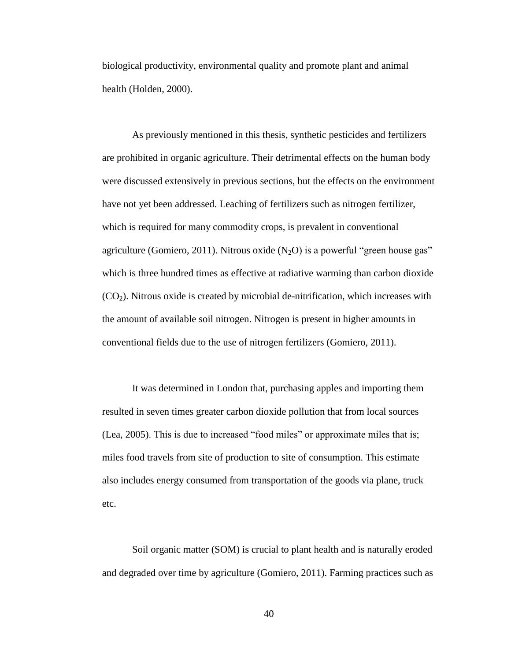biological productivity, environmental quality and promote plant and animal health (Holden, 2000).

As previously mentioned in this thesis, synthetic pesticides and fertilizers are prohibited in organic agriculture. Their detrimental effects on the human body were discussed extensively in previous sections, but the effects on the environment have not yet been addressed. Leaching of fertilizers such as nitrogen fertilizer, which is required for many commodity crops, is prevalent in conventional agriculture (Gomiero, 2011). Nitrous oxide  $(N_2O)$  is a powerful "green house gas" which is three hundred times as effective at radiative warming than carbon dioxide  $(CO<sub>2</sub>)$ . Nitrous oxide is created by microbial de-nitrification, which increases with the amount of available soil nitrogen. Nitrogen is present in higher amounts in conventional fields due to the use of nitrogen fertilizers (Gomiero, 2011).

It was determined in London that, purchasing apples and importing them resulted in seven times greater carbon dioxide pollution that from local sources (Lea, 2005). This is due to increased "food miles" or approximate miles that is; miles food travels from site of production to site of consumption. This estimate also includes energy consumed from transportation of the goods via plane, truck etc.

Soil organic matter (SOM) is crucial to plant health and is naturally eroded and degraded over time by agriculture (Gomiero, 2011). Farming practices such as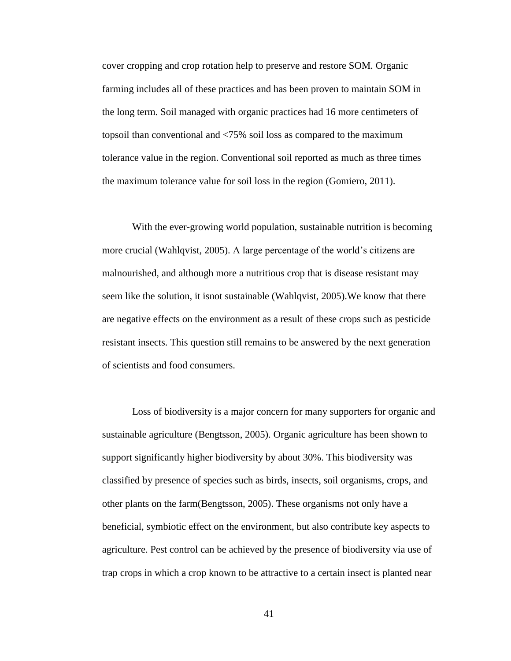cover cropping and crop rotation help to preserve and restore SOM. Organic farming includes all of these practices and has been proven to maintain SOM in the long term. Soil managed with organic practices had 16 more centimeters of topsoil than conventional and <75% soil loss as compared to the maximum tolerance value in the region. Conventional soil reported as much as three times the maximum tolerance value for soil loss in the region (Gomiero, 2011).

With the ever-growing world population, sustainable nutrition is becoming more crucial (Wahlqvist, 2005). A large percentage of the world's citizens are malnourished, and although more a nutritious crop that is disease resistant may seem like the solution, it isnot sustainable (Wahlqvist, 2005).We know that there are negative effects on the environment as a result of these crops such as pesticide resistant insects. This question still remains to be answered by the next generation of scientists and food consumers.

Loss of biodiversity is a major concern for many supporters for organic and sustainable agriculture (Bengtsson, 2005). Organic agriculture has been shown to support significantly higher biodiversity by about 30%. This biodiversity was classified by presence of species such as birds, insects, soil organisms, crops, and other plants on the farm(Bengtsson, 2005). These organisms not only have a beneficial, symbiotic effect on the environment, but also contribute key aspects to agriculture. Pest control can be achieved by the presence of biodiversity via use of trap crops in which a crop known to be attractive to a certain insect is planted near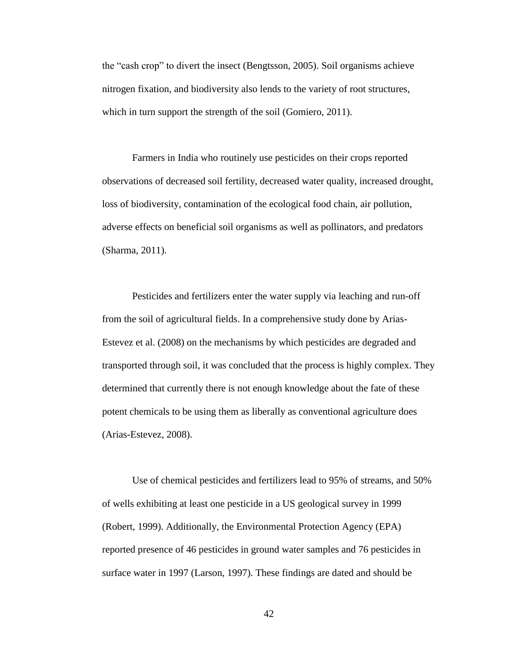the "cash crop" to divert the insect (Bengtsson, 2005). Soil organisms achieve nitrogen fixation, and biodiversity also lends to the variety of root structures, which in turn support the strength of the soil (Gomiero, 2011).

Farmers in India who routinely use pesticides on their crops reported observations of decreased soil fertility, decreased water quality, increased drought, loss of biodiversity, contamination of the ecological food chain, air pollution, adverse effects on beneficial soil organisms as well as pollinators, and predators (Sharma, 2011).

Pesticides and fertilizers enter the water supply via leaching and run-off from the soil of agricultural fields. In a comprehensive study done by Arias-Estevez et al. (2008) on the mechanisms by which pesticides are degraded and transported through soil, it was concluded that the process is highly complex. They determined that currently there is not enough knowledge about the fate of these potent chemicals to be using them as liberally as conventional agriculture does (Arias-Estevez, 2008).

Use of chemical pesticides and fertilizers lead to 95% of streams, and 50% of wells exhibiting at least one pesticide in a US geological survey in 1999 (Robert, 1999). Additionally, the Environmental Protection Agency (EPA) reported presence of 46 pesticides in ground water samples and 76 pesticides in surface water in 1997 (Larson, 1997). These findings are dated and should be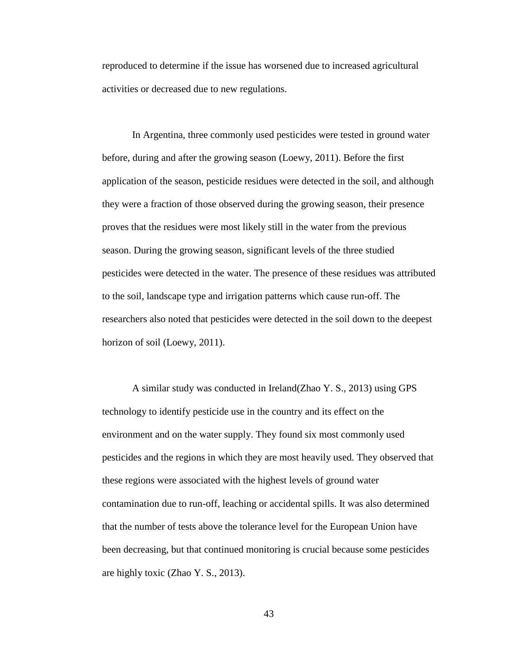reproduced to determine if the issue has worsened due to increased agricultural activities or decreased due to new regulations.

In Argentina, three commonly used pesticides were tested in ground water before, during and after the growing season (Loewy, 2011). Before the first application of the season, pesticide residues were detected in the soil, and although they were a fraction of those observed during the growing season, their presence proves that the residues were most likely still in the water from the previous season. During the growing season, significant levels of the three studied pesticides were detected in the water. The presence of these residues was attributed to the soil, landscape type and irrigation patterns which cause run-off. The researchers also noted that pesticides were detected in the soil down to the deepest horizon of soil (Loewy, 2011).

A similar study was conducted in Ireland(Zhao Y. S., 2013) using GPS technology to identify pesticide use in the country and its effect on the environment and on the water supply. They found six most commonly used pesticides and the regions in which they are most heavily used. They observed that these regions were associated with the highest levels of ground water contamination due to run-off, leaching or accidental spills. It was also determined that the number of tests above the tolerance level for the European Union have been decreasing, but that continued monitoring is crucial because some pesticides are highly toxic (Zhao Y. S., 2013).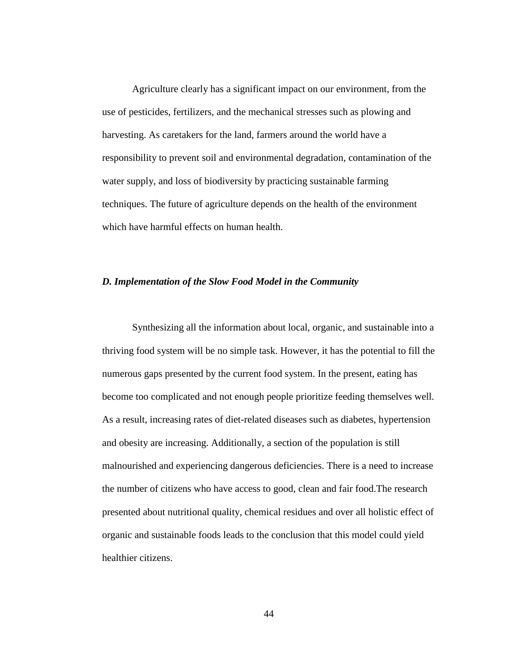Agriculture clearly has a significant impact on our environment, from the use of pesticides, fertilizers, and the mechanical stresses such as plowing and harvesting. As caretakers for the land, farmers around the world have a responsibility to prevent soil and environmental degradation, contamination of the water supply, and loss of biodiversity by practicing sustainable farming techniques. The future of agriculture depends on the health of the environment which have harmful effects on human health.

#### *D. Implementation of the Slow Food Model in the Community*

Synthesizing all the information about local, organic, and sustainable into a thriving food system will be no simple task. However, it has the potential to fill the numerous gaps presented by the current food system. In the present, eating has become too complicated and not enough people prioritize feeding themselves well. As a result, increasing rates of diet-related diseases such as diabetes, hypertension and obesity are increasing. Additionally, a section of the population is still malnourished and experiencing dangerous deficiencies. There is a need to increase the number of citizens who have access to good, clean and fair food.The research presented about nutritional quality, chemical residues and over all holistic effect of organic and sustainable foods leads to the conclusion that this model could yield healthier citizens.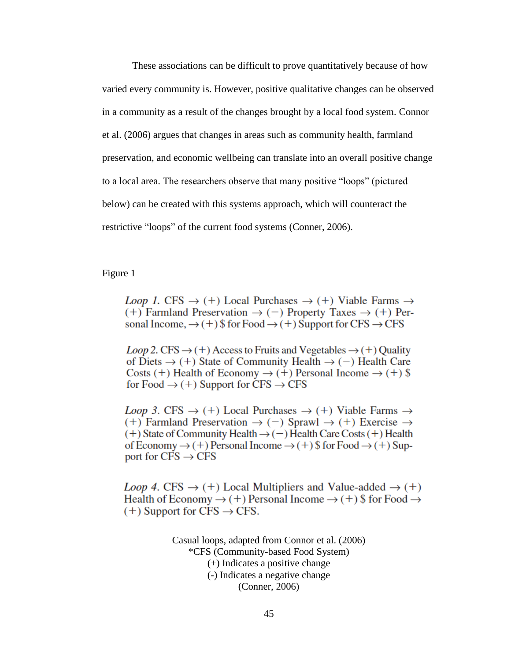These associations can be difficult to prove quantitatively because of how varied every community is. However, positive qualitative changes can be observed in a community as a result of the changes brought by a local food system. Connor et al. (2006) argues that changes in areas such as community health, farmland preservation, and economic wellbeing can translate into an overall positive change to a local area. The researchers observe that many positive "loops" (pictured below) can be created with this systems approach, which will counteract the restrictive "loops" of the current food systems (Conner, 2006).

Figure 1

*Loop 1.* CFS  $\rightarrow$  (+) Local Purchases  $\rightarrow$  (+) Viable Farms  $\rightarrow$  $(+)$  Farmland Preservation  $\rightarrow$  (-) Property Taxes  $\rightarrow$  (+) Personal Income,  $\rightarrow$  (+) \$ for Food  $\rightarrow$  (+) Support for CFS  $\rightarrow$  CFS

*Loop* 2. CFS  $\rightarrow$  (+) Access to Fruits and Vegetables  $\rightarrow$  (+) Quality of Diets  $\rightarrow$  (+) State of Community Health  $\rightarrow$  (-) Health Care Costs (+) Health of Economy  $\rightarrow$  (+) Personal Income  $\rightarrow$  (+) \\$ for Food  $\rightarrow$  (+) Support for CFS  $\rightarrow$  CFS

*Loop 3.* CFS  $\rightarrow$  (+) Local Purchases  $\rightarrow$  (+) Viable Farms  $\rightarrow$  $(+)$  Farmland Preservation  $\rightarrow$  (-) Sprawl  $\rightarrow$  (+) Exercise  $\rightarrow$  $(+)$  State of Community Health  $\rightarrow$  (-) Health Care Costs (+) Health of Economy  $\rightarrow$  (+) Personal Income  $\rightarrow$  (+) \$ for Food  $\rightarrow$  (+) Support for  $CFS \rightarrow CFS$ 

*Loop 4.* CFS  $\rightarrow$  (+) Local Multipliers and Value-added  $\rightarrow$  (+) Health of Economy  $\rightarrow$  (+) Personal Income  $\rightarrow$  (+) \$ for Food  $\rightarrow$  $(+)$  Support for CFS  $\rightarrow$  CFS.

> Casual loops, adapted from Connor et al. (2006) \*CFS (Community-based Food System) (+) Indicates a positive change (-) Indicates a negative change (Conner, 2006)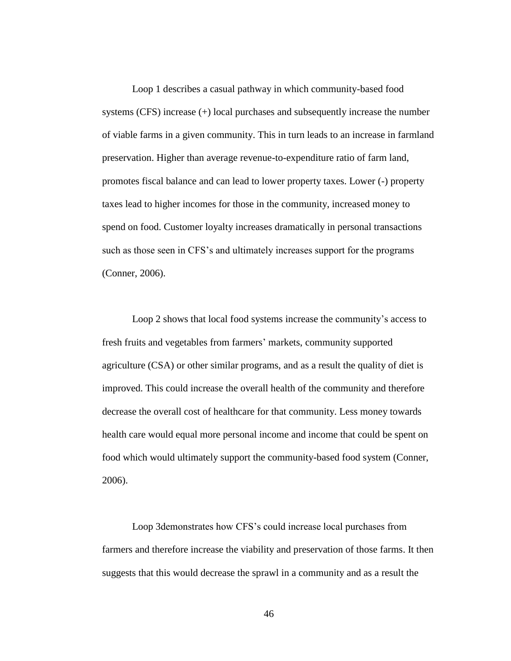Loop 1 describes a casual pathway in which community-based food systems (CFS) increase (+) local purchases and subsequently increase the number of viable farms in a given community. This in turn leads to an increase in farmland preservation. Higher than average revenue-to-expenditure ratio of farm land, promotes fiscal balance and can lead to lower property taxes. Lower (-) property taxes lead to higher incomes for those in the community, increased money to spend on food. Customer loyalty increases dramatically in personal transactions such as those seen in CFS's and ultimately increases support for the programs (Conner, 2006).

Loop 2 shows that local food systems increase the community's access to fresh fruits and vegetables from farmers' markets, community supported agriculture (CSA) or other similar programs, and as a result the quality of diet is improved. This could increase the overall health of the community and therefore decrease the overall cost of healthcare for that community. Less money towards health care would equal more personal income and income that could be spent on food which would ultimately support the community-based food system (Conner, 2006).

Loop 3demonstrates how CFS's could increase local purchases from farmers and therefore increase the viability and preservation of those farms. It then suggests that this would decrease the sprawl in a community and as a result the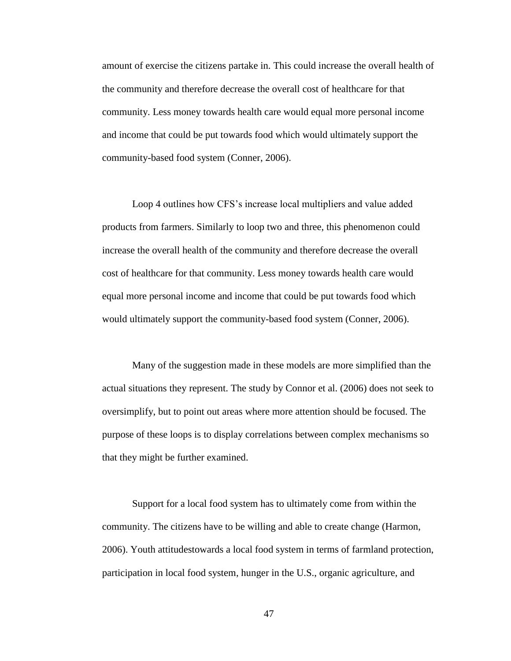amount of exercise the citizens partake in. This could increase the overall health of the community and therefore decrease the overall cost of healthcare for that community. Less money towards health care would equal more personal income and income that could be put towards food which would ultimately support the community-based food system (Conner, 2006).

Loop 4 outlines how CFS's increase local multipliers and value added products from farmers. Similarly to loop two and three, this phenomenon could increase the overall health of the community and therefore decrease the overall cost of healthcare for that community. Less money towards health care would equal more personal income and income that could be put towards food which would ultimately support the community-based food system (Conner, 2006).

Many of the suggestion made in these models are more simplified than the actual situations they represent. The study by Connor et al. (2006) does not seek to oversimplify, but to point out areas where more attention should be focused. The purpose of these loops is to display correlations between complex mechanisms so that they might be further examined.

Support for a local food system has to ultimately come from within the community. The citizens have to be willing and able to create change (Harmon, 2006). Youth attitudestowards a local food system in terms of farmland protection, participation in local food system, hunger in the U.S., organic agriculture, and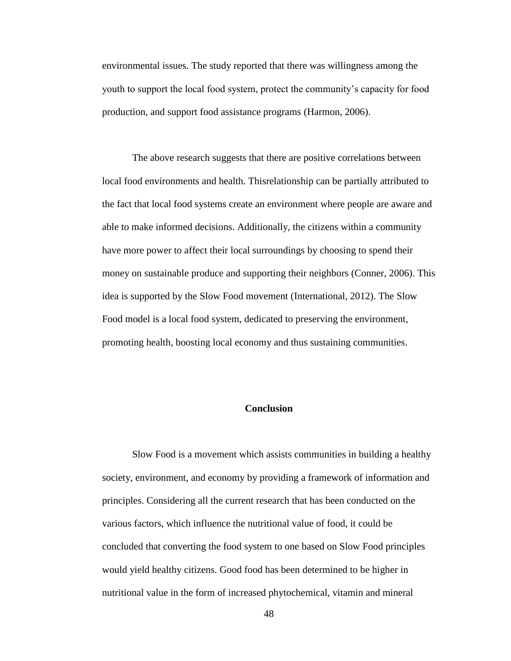environmental issues. The study reported that there was willingness among the youth to support the local food system, protect the community's capacity for food production, and support food assistance programs (Harmon, 2006).

The above research suggests that there are positive correlations between local food environments and health. Thisrelationship can be partially attributed to the fact that local food systems create an environment where people are aware and able to make informed decisions. Additionally, the citizens within a community have more power to affect their local surroundings by choosing to spend their money on sustainable produce and supporting their neighbors (Conner, 2006). This idea is supported by the Slow Food movement (International, 2012). The Slow Food model is a local food system, dedicated to preserving the environment, promoting health, boosting local economy and thus sustaining communities.

#### **Conclusion**

Slow Food is a movement which assists communities in building a healthy society, environment, and economy by providing a framework of information and principles. Considering all the current research that has been conducted on the various factors, which influence the nutritional value of food, it could be concluded that converting the food system to one based on Slow Food principles would yield healthy citizens. Good food has been determined to be higher in nutritional value in the form of increased phytochemical, vitamin and mineral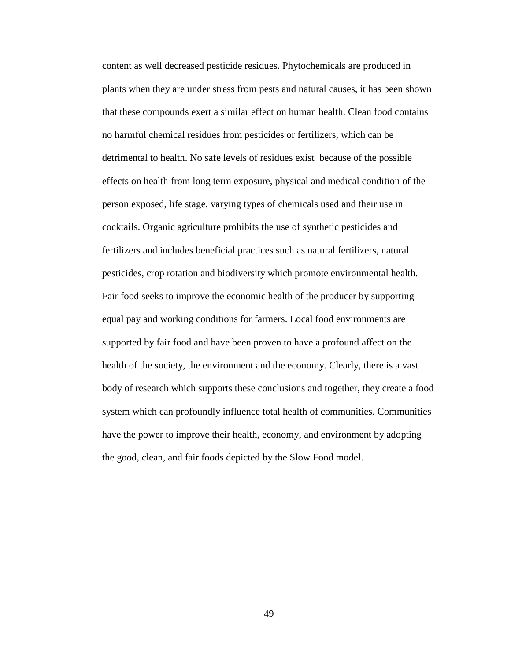content as well decreased pesticide residues. Phytochemicals are produced in plants when they are under stress from pests and natural causes, it has been shown that these compounds exert a similar effect on human health. Clean food contains no harmful chemical residues from pesticides or fertilizers, which can be detrimental to health. No safe levels of residues exist because of the possible effects on health from long term exposure, physical and medical condition of the person exposed, life stage, varying types of chemicals used and their use in cocktails. Organic agriculture prohibits the use of synthetic pesticides and fertilizers and includes beneficial practices such as natural fertilizers, natural pesticides, crop rotation and biodiversity which promote environmental health. Fair food seeks to improve the economic health of the producer by supporting equal pay and working conditions for farmers. Local food environments are supported by fair food and have been proven to have a profound affect on the health of the society, the environment and the economy. Clearly, there is a vast body of research which supports these conclusions and together, they create a food system which can profoundly influence total health of communities. Communities have the power to improve their health, economy, and environment by adopting the good, clean, and fair foods depicted by the Slow Food model.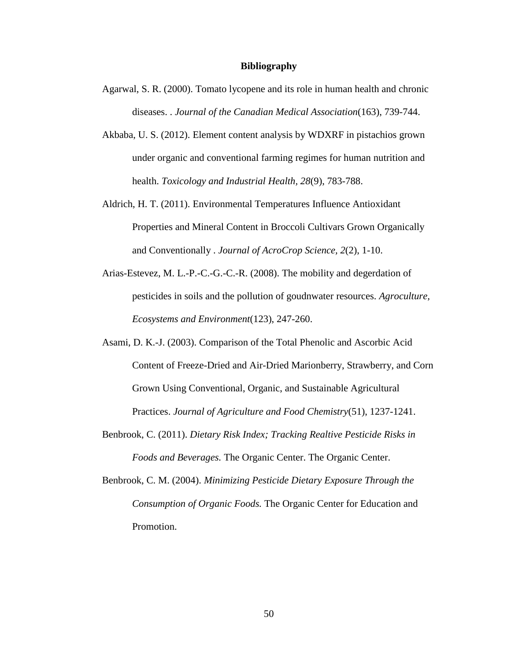#### **Bibliography**

- Agarwal, S. R. (2000). Tomato lycopene and its role in human health and chronic diseases. . *Journal of the Canadian Medical Association*(163), 739-744.
- Akbaba, U. S. (2012). Element content analysis by WDXRF in pistachios grown under organic and conventional farming regimes for human nutrition and health. *Toxicology and Industrial Health, 28*(9), 783-788.
- Aldrich, H. T. (2011). Environmental Temperatures Influence Antioxidant Properties and Mineral Content in Broccoli Cultivars Grown Organically and Conventionally . *Journal of AcroCrop Science, 2*(2), 1-10.
- Arias-Estevez, M. L.-P.-C.-G.-C.-R. (2008). The mobility and degerdation of pesticides in soils and the pollution of goudnwater resources. *Agroculture, Ecosystems and Environment*(123), 247-260.
- Asami, D. K.-J. (2003). Comparison of the Total Phenolic and Ascorbic Acid Content of Freeze-Dried and Air-Dried Marionberry, Strawberry, and Corn Grown Using Conventional, Organic, and Sustainable Agricultural Practices. *Journal of Agriculture and Food Chemistry*(51), 1237-1241.
- Benbrook, C. (2011). *Dietary Risk Index; Tracking Realtive Pesticide Risks in Foods and Beverages.* The Organic Center. The Organic Center.
- Benbrook, C. M. (2004). *Minimizing Pesticide Dietary Exposure Through the Consumption of Organic Foods.* The Organic Center for Education and Promotion.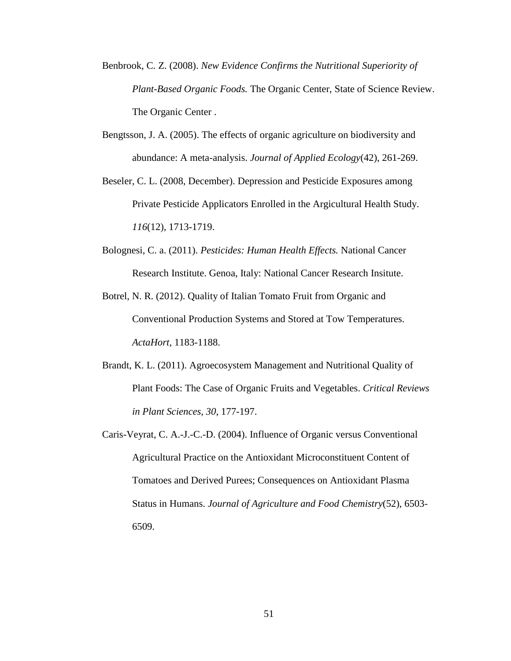- Benbrook, C. Z. (2008). *New Evidence Confirms the Nutritional Superiority of Plant-Based Organic Foods.* The Organic Center, State of Science Review. The Organic Center .
- Bengtsson, J. A. (2005). The effects of organic agriculture on biodiversity and abundance: A meta-analysis. *Journal of Applied Ecology*(42), 261-269.
- Beseler, C. L. (2008, December). Depression and Pesticide Exposures among Private Pesticide Applicators Enrolled in the Argicultural Health Study. *116*(12), 1713-1719.
- Bolognesi, C. a. (2011). *Pesticides: Human Health Effects.* National Cancer Research Institute. Genoa, Italy: National Cancer Research Insitute.
- Botrel, N. R. (2012). Quality of Italian Tomato Fruit from Organic and Conventional Production Systems and Stored at Tow Temperatures. *ActaHort*, 1183-1188.
- Brandt, K. L. (2011). Agroecosystem Management and Nutritional Quality of Plant Foods: The Case of Organic Fruits and Vegetables. *Critical Reviews in Plant Sciences, 30*, 177-197.
- Caris-Veyrat, C. A.-J.-C.-D. (2004). Influence of Organic versus Conventional Agricultural Practice on the Antioxidant Microconstituent Content of Tomatoes and Derived Purees; Consequences on Antioxidant Plasma Status in Humans. *Journal of Agriculture and Food Chemistry*(52), 6503- 6509.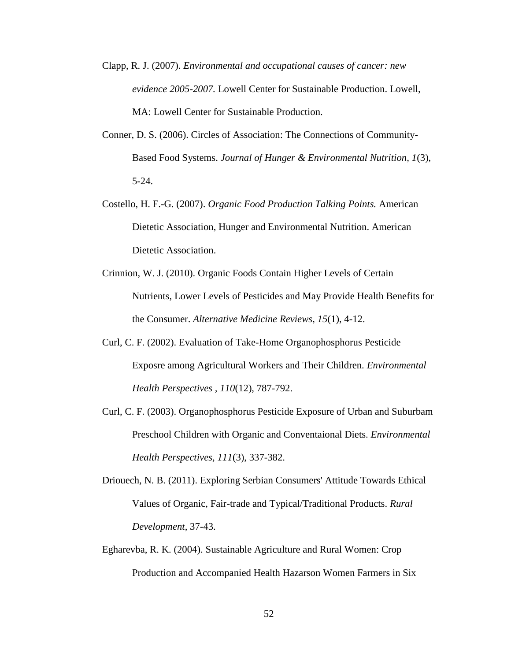- Clapp, R. J. (2007). *Environmental and occupational causes of cancer: new evidence 2005-2007.* Lowell Center for Sustainable Production. Lowell, MA: Lowell Center for Sustainable Production.
- Conner, D. S. (2006). Circles of Association: The Connections of Community-Based Food Systems. *Journal of Hunger & Environmental Nutrition, 1*(3), 5-24.
- Costello, H. F.-G. (2007). *Organic Food Production Talking Points.* American Dietetic Association, Hunger and Environmental Nutrition. American Dietetic Association.
- Crinnion, W. J. (2010). Organic Foods Contain Higher Levels of Certain Nutrients, Lower Levels of Pesticides and May Provide Health Benefits for the Consumer. *Alternative Medicine Reviews, 15*(1), 4-12.
- Curl, C. F. (2002). Evaluation of Take-Home Organophosphorus Pesticide Exposre among Agricultural Workers and Their Children. *Environmental Health Perspectives , 110*(12), 787-792.
- Curl, C. F. (2003). Organophosphorus Pesticide Exposure of Urban and Suburbam Preschool Children with Organic and Conventaional Diets. *Environmental Health Perspectives, 111*(3), 337-382.
- Driouech, N. B. (2011). Exploring Serbian Consumers' Attitude Towards Ethical Values of Organic, Fair-trade and Typical/Traditional Products. *Rural Development*, 37-43.
- Egharevba, R. K. (2004). Sustainable Agriculture and Rural Women: Crop Production and Accompanied Health Hazarson Women Farmers in Six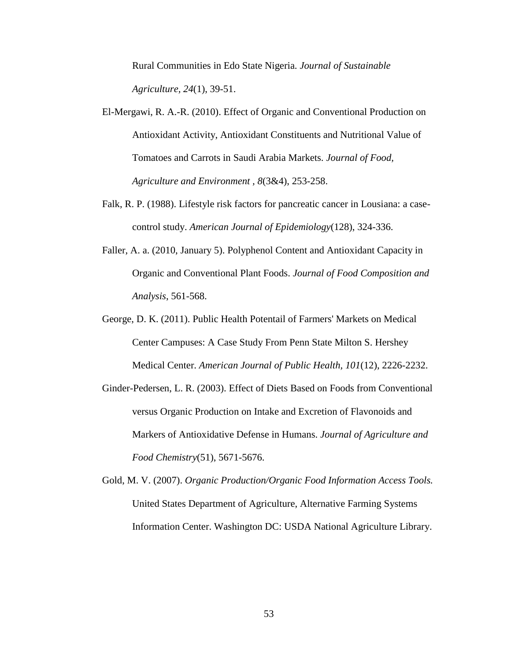Rural Communities in Edo State Nigeria. *Journal of Sustainable Agriculture, 24*(1), 39-51.

- El-Mergawi, R. A.-R. (2010). Effect of Organic and Conventional Production on Antioxidant Activity, Antioxidant Constituents and Nutritional Value of Tomatoes and Carrots in Saudi Arabia Markets. *Journal of Food, Agriculture and Environment , 8*(3&4), 253-258.
- Falk, R. P. (1988). Lifestyle risk factors for pancreatic cancer in Lousiana: a casecontrol study. *American Journal of Epidemiology*(128), 324-336.
- Faller, A. a. (2010, January 5). Polyphenol Content and Antioxidant Capacity in Organic and Conventional Plant Foods. *Journal of Food Composition and Analysis*, 561-568.
- George, D. K. (2011). Public Health Potentail of Farmers' Markets on Medical Center Campuses: A Case Study From Penn State Milton S. Hershey Medical Center. *American Journal of Public Health, 101*(12), 2226-2232.
- Ginder-Pedersen, L. R. (2003). Effect of Diets Based on Foods from Conventional versus Organic Production on Intake and Excretion of Flavonoids and Markers of Antioxidative Defense in Humans. *Journal of Agriculture and Food Chemistry*(51), 5671-5676.
- Gold, M. V. (2007). *Organic Production/Organic Food Information Access Tools.* United States Department of Agriculture, Alternative Farming Systems Information Center. Washington DC: USDA National Agriculture Library.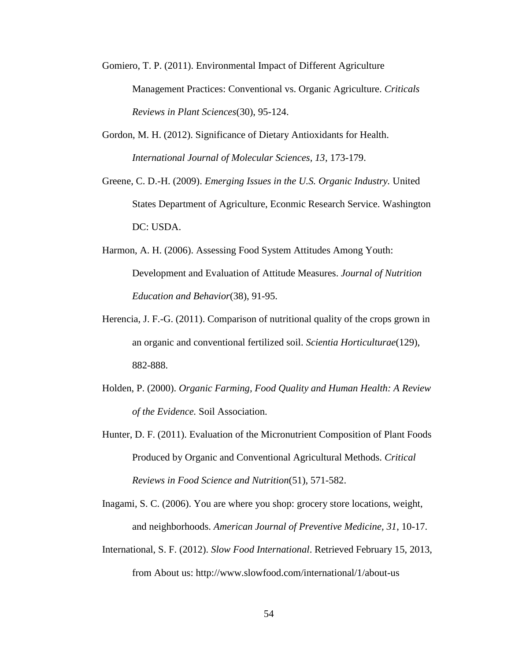- Gomiero, T. P. (2011). Environmental Impact of Different Agriculture Management Practices: Conventional vs. Organic Agriculture. *Criticals Reviews in Plant Sciences*(30), 95-124.
- Gordon, M. H. (2012). Significance of Dietary Antioxidants for Health. *International Journal of Molecular Sciences, 13*, 173-179.
- Greene, C. D.-H. (2009). *Emerging Issues in the U.S. Organic Industry.* United States Department of Agriculture, Econmic Research Service. Washington DC: USDA.
- Harmon, A. H. (2006). Assessing Food System Attitudes Among Youth: Development and Evaluation of Attitude Measures. *Journal of Nutrition Education and Behavior*(38), 91-95.
- Herencia, J. F.-G. (2011). Comparison of nutritional quality of the crops grown in an organic and conventional fertilized soil. *Scientia Horticulturae*(129), 882-888.
- Holden, P. (2000). *Organic Farming, Food Quality and Human Health: A Review of the Evidence.* Soil Association.
- Hunter, D. F. (2011). Evaluation of the Micronutrient Composition of Plant Foods Produced by Organic and Conventional Agricultural Methods. *Critical Reviews in Food Science and Nutrition*(51), 571-582.

Inagami, S. C. (2006). You are where you shop: grocery store locations, weight, and neighborhoods. *American Journal of Preventive Medicine, 31*, 10-17.

International, S. F. (2012). *Slow Food International*. Retrieved February 15, 2013, from About us: http://www.slowfood.com/international/1/about-us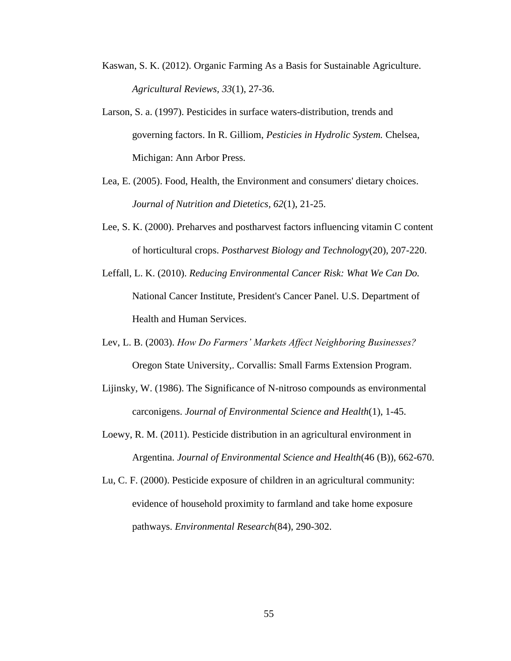- Kaswan, S. K. (2012). Organic Farming As a Basis for Sustainable Agriculture. *Agricultural Reviews, 33*(1), 27-36.
- Larson, S. a. (1997). Pesticides in surface waters-distribution, trends and governing factors. In R. Gilliom, *Pesticies in Hydrolic System.* Chelsea, Michigan: Ann Arbor Press.
- Lea, E. (2005). Food, Health, the Environment and consumers' dietary choices. *Journal of Nutrition and Dietetics, 62*(1), 21-25.
- Lee, S. K. (2000). Preharves and postharvest factors influencing vitamin C content of horticultural crops. *Postharvest Biology and Technology*(20), 207-220.
- Leffall, L. K. (2010). *Reducing Environmental Cancer Risk: What We Can Do.* National Cancer Institute, President's Cancer Panel. U.S. Department of Health and Human Services.
- Lev, L. B. (2003). *How Do Farmers' Markets Affect Neighboring Businesses?* Oregon State University,. Corvallis: Small Farms Extension Program.
- Lijinsky, W. (1986). The Significance of N-nitroso compounds as environmental carconigens. *Journal of Environmental Science and Health*(1), 1-45.
- Loewy, R. M. (2011). Pesticide distribution in an agricultural environment in Argentina. *Journal of Environmental Science and Health*(46 (B)), 662-670.
- Lu, C. F. (2000). Pesticide exposure of children in an agricultural community: evidence of household proximity to farmland and take home exposure pathways. *Environmental Research*(84), 290-302.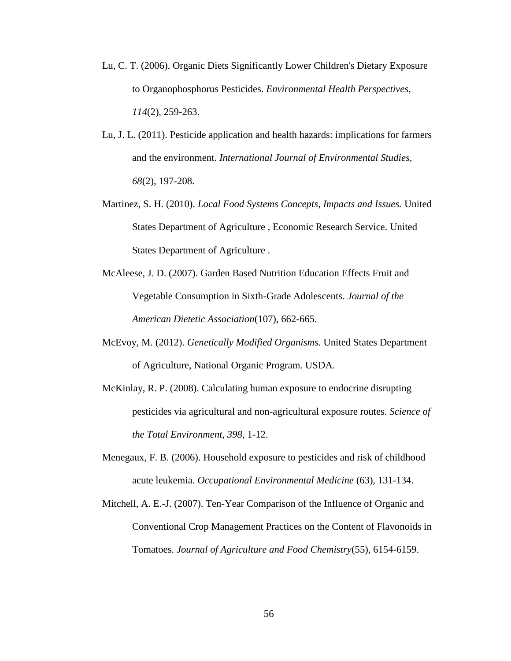- Lu, C. T. (2006). Organic Diets Significantly Lower Children's Dietary Exposure to Organophosphorus Pesticides. *Environmental Health Perspectives, 114*(2), 259-263.
- Lu, J. L. (2011). Pesticide application and health hazards: implications for farmers and the environment. *International Journal of Environmental Studies, 68*(2), 197-208.
- Martinez, S. H. (2010). *Local Food Systems Concepts, Impacts and Issues.* United States Department of Agriculture , Economic Research Service. United States Department of Agriculture .
- McAleese, J. D. (2007). Garden Based Nutrition Education Effects Fruit and Vegetable Consumption in Sixth-Grade Adolescents. *Journal of the American Dietetic Association*(107), 662-665.
- McEvoy, M. (2012). *Genetically Modified Organisms.* United States Department of Agriculture, National Organic Program. USDA.
- McKinlay, R. P. (2008). Calculating human exposure to endocrine disrupting pesticides via agricultural and non-agricultural exposure routes. *Science of the Total Environment, 398*, 1-12.
- Menegaux, F. B. (2006). Household exposure to pesticides and risk of childhood acute leukemia. *Occupational Environmental Medicine* (63), 131-134.
- Mitchell, A. E.-J. (2007). Ten-Year Comparison of the Influence of Organic and Conventional Crop Management Practices on the Content of Flavonoids in Tomatoes. *Journal of Agriculture and Food Chemistry*(55), 6154-6159.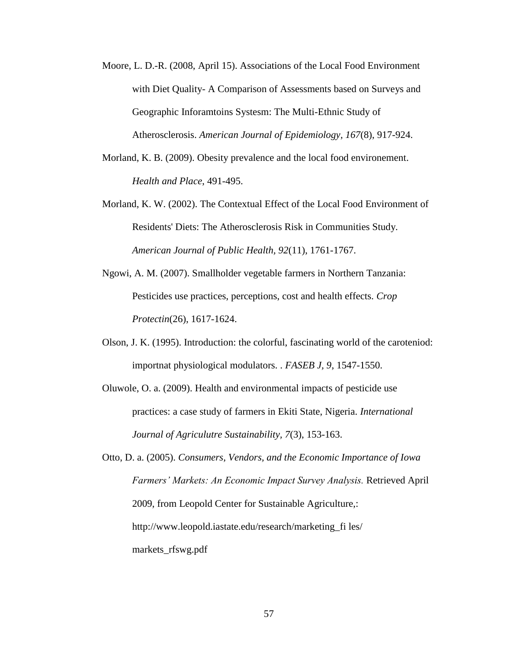- Moore, L. D.-R. (2008, April 15). Associations of the Local Food Environment with Diet Quality- A Comparison of Assessments based on Surveys and Geographic Inforamtoins Systesm: The Multi-Ethnic Study of Atherosclerosis. *American Journal of Epidemiology, 167*(8), 917-924.
- Morland, K. B. (2009). Obesity prevalence and the local food environement. *Health and Place*, 491-495.
- Morland, K. W. (2002). The Contextual Effect of the Local Food Environment of Residents' Diets: The Atherosclerosis Risk in Communities Study. *American Journal of Public Health, 92*(11), 1761-1767.
- Ngowi, A. M. (2007). Smallholder vegetable farmers in Northern Tanzania: Pesticides use practices, perceptions, cost and health effects. *Crop Protectin*(26), 1617-1624.
- Olson, J. K. (1995). Introduction: the colorful, fascinating world of the caroteniod: importnat physiological modulators. . *FASEB J, 9*, 1547-1550.
- Oluwole, O. a. (2009). Health and environmental impacts of pesticide use practices: a case study of farmers in Ekiti State, Nigeria. *International Journal of Agriculutre Sustainability, 7*(3), 153-163.
- Otto, D. a. (2005). *Consumers, Vendors, and the Economic Importance of Iowa Farmers' Markets: An Economic Impact Survey Analysis.* Retrieved April 2009, from Leopold Center for Sustainable Agriculture,: http://www.leopold.iastate.edu/research/marketing\_fi les/ markets\_rfswg.pdf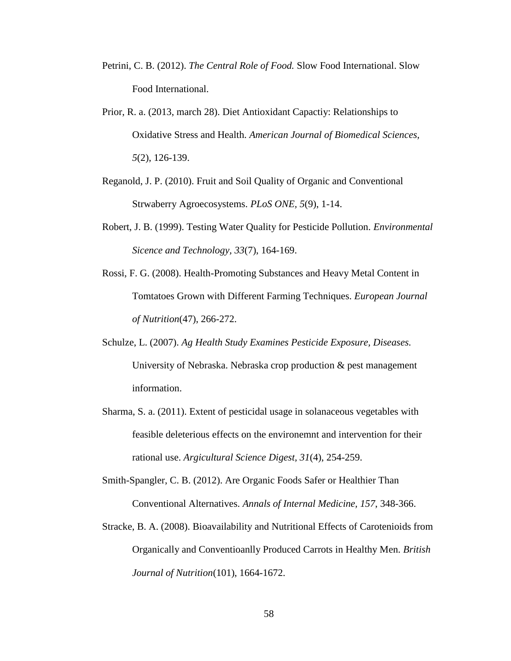- Petrini, C. B. (2012). *The Central Role of Food.* Slow Food International. Slow Food International.
- Prior, R. a. (2013, march 28). Diet Antioxidant Capactiy: Relationships to Oxidative Stress and Health. *American Journal of Biomedical Sciences, 5*(2), 126-139.
- Reganold, J. P. (2010). Fruit and Soil Quality of Organic and Conventional Strwaberry Agroecosystems. *PLoS ONE, 5*(9), 1-14.
- Robert, J. B. (1999). Testing Water Quality for Pesticide Pollution. *Environmental Sicence and Technology, 33*(7), 164-169.
- Rossi, F. G. (2008). Health-Promoting Substances and Heavy Metal Content in Tomtatoes Grown with Different Farming Techniques. *European Journal of Nutrition*(47), 266-272.
- Schulze, L. (2007). *Ag Health Study Examines Pesticide Exposure, Diseases.* University of Nebraska. Nebraska crop production & pest management information.
- Sharma, S. a. (2011). Extent of pesticidal usage in solanaceous vegetables with feasible deleterious effects on the environemnt and intervention for their rational use. *Argicultural Science Digest, 31*(4), 254-259.
- Smith-Spangler, C. B. (2012). Are Organic Foods Safer or Healthier Than Conventional Alternatives. *Annals of Internal Medicine, 157*, 348-366.
- Stracke, B. A. (2008). Bioavailability and Nutritional Effects of Carotenioids from Organically and Conventioanlly Produced Carrots in Healthy Men. *British Journal of Nutrition*(101), 1664-1672.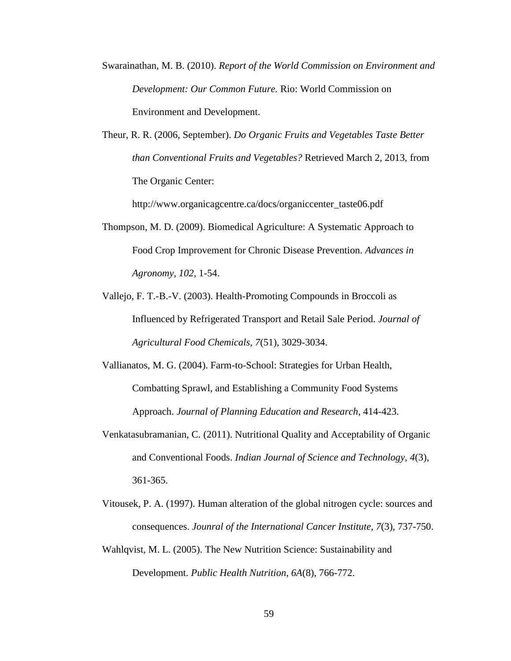- Swarainathan, M. B. (2010). *Report of the World Commission on Environment and Development: Our Common Future.* Rio: World Commission on Environment and Development.
- Theur, R. R. (2006, September). *Do Organic Fruits and Vegetables Taste Better than Conventional Fruits and Vegetables?* Retrieved March 2, 2013, from The Organic Center:

http://www.organicagcentre.ca/docs/organiccenter\_taste06.pdf

- Thompson, M. D. (2009). Biomedical Agriculture: A Systematic Approach to Food Crop Improvement for Chronic Disease Prevention. *Advances in Agronomy, 102*, 1-54.
- Vallejo, F. T.-B.-V. (2003). Health-Promoting Compounds in Broccoli as Influenced by Refrigerated Transport and Retail Sale Period. *Journal of Agricultural Food Chemicals, 7*(51), 3029-3034.
- Vallianatos, M. G. (2004). Farm-to-School: Strategies for Urban Health, Combatting Sprawl, and Establishing a Community Food Systems Approach. *Journal of Planning Education and Research*, 414-423.
- Venkatasubramanian, C. (2011). Nutritional Quality and Acceptability of Organic and Conventional Foods. *Indian Journal of Science and Technology, 4*(3), 361-365.
- Vitousek, P. A. (1997). Human alteration of the global nitrogen cycle: sources and consequences. *Jounral of the International Cancer Institute, 7*(3), 737-750.
- Wahlqvist, M. L. (2005). The New Nutrition Science: Sustainability and Development. *Public Health Nutrition, 6A*(8), 766-772.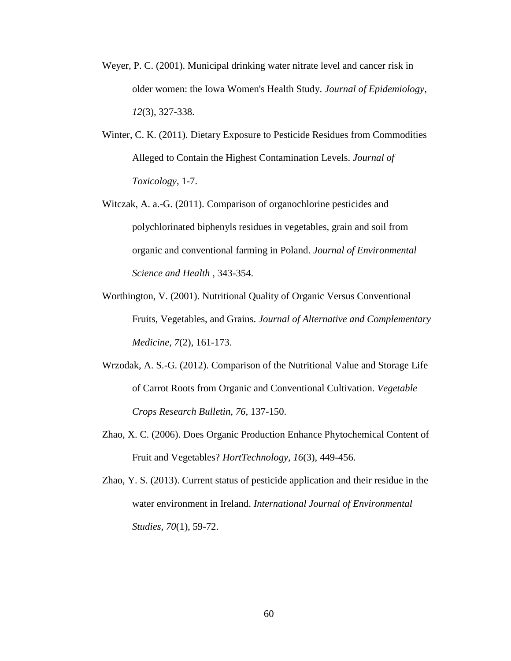- Weyer, P. C. (2001). Municipal drinking water nitrate level and cancer risk in older women: the Iowa Women's Health Study. *Journal of Epidemiology, 12*(3), 327-338.
- Winter, C. K. (2011). Dietary Exposure to Pesticide Residues from Commodities Alleged to Contain the Highest Contamination Levels. *Journal of Toxicology*, 1-7.
- Witczak, A. a.-G. (2011). Comparison of organochlorine pesticides and polychlorinated biphenyls residues in vegetables, grain and soil from organic and conventional farming in Poland. *Journal of Environmental Science and Health* , 343-354.
- Worthington, V. (2001). Nutritional Quality of Organic Versus Conventional Fruits, Vegetables, and Grains. *Journal of Alternative and Complementary Medicine, 7*(2), 161-173.
- Wrzodak, A. S.-G. (2012). Comparison of the Nutritional Value and Storage Life of Carrot Roots from Organic and Conventional Cultivation. *Vegetable Crops Research Bulletin, 76*, 137-150.
- Zhao, X. C. (2006). Does Organic Production Enhance Phytochemical Content of Fruit and Vegetables? *HortTechnology, 16*(3), 449-456.
- Zhao, Y. S. (2013). Current status of pesticide application and their residue in the water environment in Ireland. *International Journal of Environmental Studies, 70*(1), 59-72.